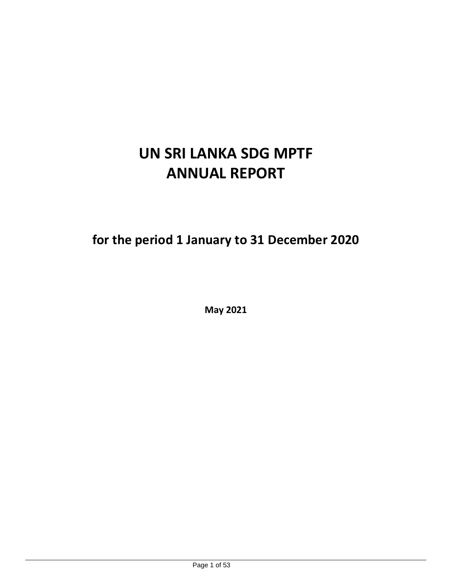# **UN SRI LANKA SDG MPTF ANNUAL REPORT**

**for the period 1 January to 31 December 2020**

**May 2021**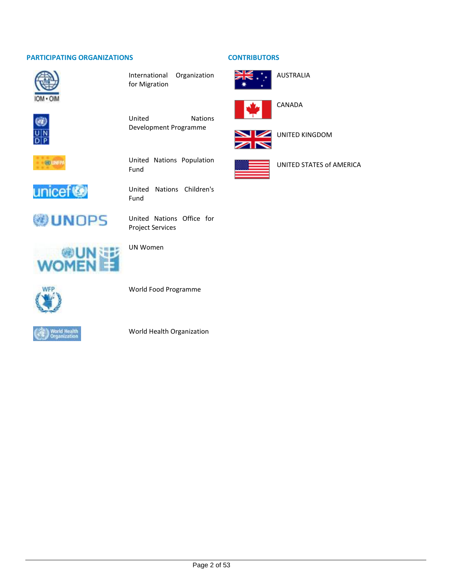#### **PARTICIPATING ORGANIZATIONS CONTRIBUTORS**



International Organization for Migration



United Nations Development Programme



United Nations Population Fund



United Nations Children's Fund

**WUNDPS** 

United Nations Office for Project Services



World Food Programme

UN Women



World Health Organization





CANADA

AUSTRALIA



UNITED KINGDOM



UNITED STATES of AMERICA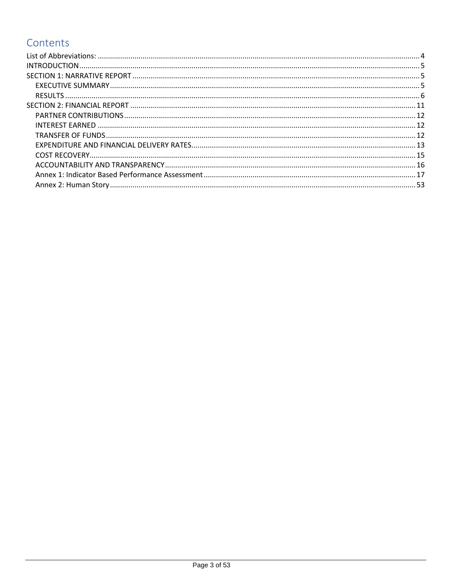## Contents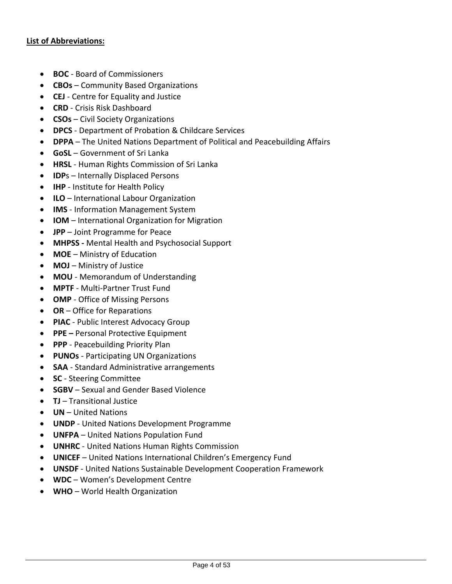#### <span id="page-3-0"></span>**List of Abbreviations:**

- **BOC** Board of Commissioners
- **CBOs** Community Based Organizations
- **CEJ**  Centre for Equality and Justice
- **CRD** Crisis Risk Dashboard
- **CSOs** Civil Society Organizations
- **DPCS**  Department of Probation & Childcare Services
- **DPPA** The United Nations Department of Political and Peacebuilding Affairs
- **GoSL** Government of Sri Lanka
- **HRSL** Human Rights Commission of Sri Lanka
- **IDP**s Internally Displaced Persons
- **IHP** Institute for Health Policy
- **ILO** International Labour Organization
- **IMS** Information Management System
- **IOM** International Organization for Migration
- **JPP** Joint Programme for Peace
- **MHPSS -** Mental Health and Psychosocial Support
- **MOE** Ministry of Education
- **MOJ** Ministry of Justice
- **MOU** Memorandum of Understanding
- **MPTF** Multi-Partner Trust Fund
- **OMP** Office of Missing Persons
- **OR** Office for Reparations
- **PIAC** Public Interest Advocacy Group
- **PPE –** Personal Protective Equipment
- **PPP** Peacebuilding Priority Plan
- **PUNOs** Participating UN Organizations
- **SAA** Standard Administrative arrangements
- **SC**  Steering Committee
- **SGBV** Sexual and Gender Based Violence
- **TJ** Transitional Justice
- **UN** United Nations
- **UNDP** United Nations Development Programme
- **UNFPA** United Nations Population Fund
- **UNHRC** United Nations Human Rights Commission
- **UNICEF** United Nations International Children's Emergency Fund
- **UNSDF** United Nations Sustainable Development Cooperation Framework
- **WDC** Women's Development Centre
- **WHO** World Health Organization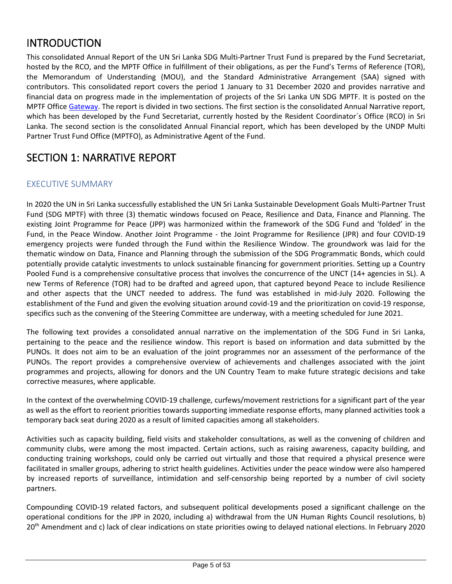### <span id="page-4-0"></span>INTRODUCTION

This consolidated Annual Report of the UN Sri Lanka SDG Multi-Partner Trust Fund is prepared by the Fund Secretariat, hosted by the RCO, and the MPTF Office in fulfillment of their obligations, as per the Fund's Terms of Reference (TOR), the Memorandum of Understanding (MOU), and the Standard Administrative Arrangement (SAA) signed with contributors. This consolidated report covers the period 1 January to 31 December 2020 and provides narrative and financial data on progress made in the implementation of projects of the Sri Lanka UN SDG MPTF. It is posted on the MPTF Office [Gateway.](http://mptf.undp.org/factsheet/fund/LTF00) The report is divided in two sections. The first section is the consolidated Annual Narrative report, which has been developed by the Fund Secretariat, currently hosted by the Resident Coordinator´s Office (RCO) in Sri Lanka. The second section is the consolidated Annual Financial report, which has been developed by the UNDP Multi Partner Trust Fund Office (MPTFO), as Administrative Agent of the Fund.

### <span id="page-4-1"></span>SECTION 1: NARRATIVE REPORT

### <span id="page-4-2"></span>EXECUTIVE SUMMARY

In 2020 the UN in Sri Lanka successfully established the UN Sri Lanka Sustainable Development Goals Multi-Partner Trust Fund (SDG MPTF) with three (3) thematic windows focused on Peace, Resilience and Data, Finance and Planning. The existing Joint Programme for Peace (JPP) was harmonized within the framework of the SDG Fund and 'folded' in the Fund, in the Peace Window. Another Joint Programme - the Joint Programme for Resilience (JPR) and four COVID-19 emergency projects were funded through the Fund within the Resilience Window. The groundwork was laid for the thematic window on Data, Finance and Planning through the submission of the SDG Programmatic Bonds, which could potentially provide catalytic investments to unlock sustainable financing for government priorities. Setting up a Country Pooled Fund is a comprehensive consultative process that involves the concurrence of the UNCT (14+ agencies in SL). A new Terms of Reference (TOR) had to be drafted and agreed upon, that captured beyond Peace to include Resilience and other aspects that the UNCT needed to address. The fund was established in mid-July 2020. Following the establishment of the Fund and given the evolving situation around covid-19 and the prioritization on covid-19 response, specifics such as the convening of the Steering Committee are underway, with a meeting scheduled for June 2021.

The following text provides a consolidated annual narrative on the implementation of the SDG Fund in Sri Lanka, pertaining to the peace and the resilience window. This report is based on information and data submitted by the PUNOs. It does not aim to be an evaluation of the joint programmes nor an assessment of the performance of the PUNOs. The report provides a comprehensive overview of achievements and challenges associated with the joint programmes and projects, allowing for donors and the UN Country Team to make future strategic decisions and take corrective measures, where applicable.

In the context of the overwhelming COVID-19 challenge, curfews/movement restrictions for a significant part of the year as well as the effort to reorient priorities towards supporting immediate response efforts, many planned activities took a temporary back seat during 2020 as a result of limited capacities among all stakeholders.

Activities such as capacity building, field visits and stakeholder consultations, as well as the convening of children and community clubs, were among the most impacted. Certain actions, such as raising awareness, capacity building, and conducting training workshops, could only be carried out virtually and those that required a physical presence were facilitated in smaller groups, adhering to strict health guidelines. Activities under the peace window were also hampered by increased reports of surveillance, intimidation and self-censorship being reported by a number of civil society partners.

Compounding COVID-19 related factors, and subsequent political developments posed a significant challenge on the operational conditions for the JPP in 2020, including a) withdrawal from the UN Human Rights Council resolutions, b) 20 th Amendment and c) lack of clear indications on state priorities owing to delayed national elections. In February 2020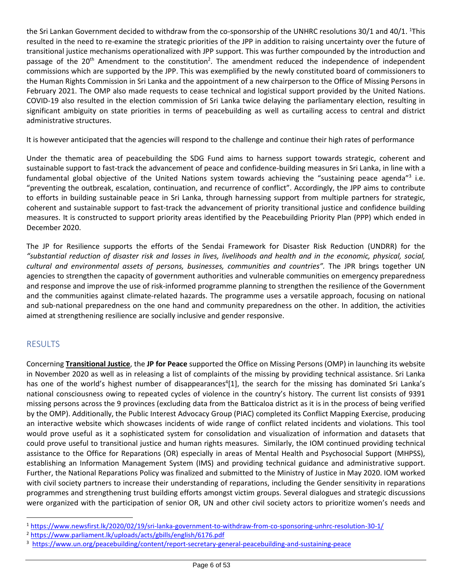the Sri Lankan Government decided to withdraw from the co-sponsorship of the UNHRC resolutions 30/1 and 40/1. <sup>1</sup>This resulted in the need to re-examine the strategic priorities of the JPP in addition to raising uncertainty over the future of transitional justice mechanisms operationalized with JPP support. This was further compounded by the introduction and passage of the 20<sup>th</sup> Amendment to the constitution<sup>2</sup>. The amendment reduced the independence of independent commissions which are supported by the JPP. This was exemplified by the newly constituted board of commissioners to the Human Rights Commission in Sri Lanka and the appointment of a new chairperson to the Office of Missing Persons in February 2021. The OMP also made requests to cease technical and logistical support provided by the United Nations. COVID-19 also resulted in the election commission of Sri Lanka twice delaying the parliamentary election, resulting in significant ambiguity on state priorities in terms of peacebuilding as well as curtailing access to central and district administrative structures.

It is however anticipated that the agencies will respond to the challenge and continue their high rates of performance

Under the thematic area of peacebuilding the SDG Fund aims to harness support towards strategic, coherent and sustainable support to fast-track the advancement of peace and confidence-building measures in Sri Lanka, in line with a fundamental global objective of the United Nations system towards achieving the "sustaining peace agenda"<sup>3</sup> i.e. "preventing the outbreak, escalation, continuation, and recurrence of conflict". Accordingly, the JPP aims to contribute to efforts in building sustainable peace in Sri Lanka, through harnessing support from multiple partners for strategic, coherent and sustainable support to fast-track the advancement of priority transitional justice and confidence building measures. It is constructed to support priority areas identified by the Peacebuilding Priority Plan (PPP) which ended in December 2020.

The JP for Resilience supports the efforts of the Sendai Framework for Disaster Risk Reduction (UNDRR) for the *"substantial reduction of disaster risk and losses in lives, livelihoods and health and in the economic, physical, social, cultural and environmental assets of persons, businesses, communities and countries".* The JPR brings together UN agencies to strengthen the capacity of government authorities and vulnerable communities on emergency preparedness and response and improve the use of risk-informed programme planning to strengthen the resilience of the Government and the communities against climate-related hazards. The programme uses a versatile approach, focusing on national and sub-national preparedness on the one hand and community preparedness on the other. In addition, the activities aimed at strengthening resilience are socially inclusive and gender responsive.

#### <span id="page-5-0"></span>RESULTS

Concerning **Transitional Justice**, the **JP for Peace** supported the Office on Missing Persons (OMP) in launching its website in November 2020 as well as in releasing a list of complaints of the missing by providing technical assistance. Sri Lanka has one of the world's highest number of disappearances<sup>4</sup>[1], the search for the missing has dominated Sri Lanka's national consciousness owing to repeated cycles of violence in the country's history. The current list consists of 9391 missing persons across the 9 provinces (excluding data from the Batticaloa district as it is in the process of being verified by the OMP). Additionally, the Public Interest Advocacy Group (PIAC) completed its Conflict Mapping Exercise, producing an interactive website which showcases incidents of wide range of conflict related incidents and violations. This tool would prove useful as it a sophisticated system for consolidation and visualization of information and datasets that could prove useful to transitional justice and human rights measures. Similarly, the IOM continued providing technical assistance to the Office for Reparations (OR) especially in areas of Mental Health and Psychosocial Support (MHPSS), establishing an Information Management System (IMS) and providing technical guidance and administrative support. Further, the National Reparations Policy was finalized and submitted to the Ministry of Justice in May 2020. IOM worked with civil society partners to increase their understanding of reparations, including the Gender sensitivity in reparations programmes and strengthening trust building efforts amongst victim groups. Several dialogues and strategic discussions were organized with the participation of senior OR, UN and other civil society actors to prioritize women's needs and

<sup>1</sup> <https://www.newsfirst.lk/2020/02/19/sri-lanka-government-to-withdraw-from-co-sponsoring-unhrc-resolution-30-1/>

<sup>2</sup> <https://www.parliament.lk/uploads/acts/gbills/english/6176.pdf>

<sup>3</sup> <https://www.un.org/peacebuilding/content/report-secretary-general-peacebuilding-and-sustaining-peace>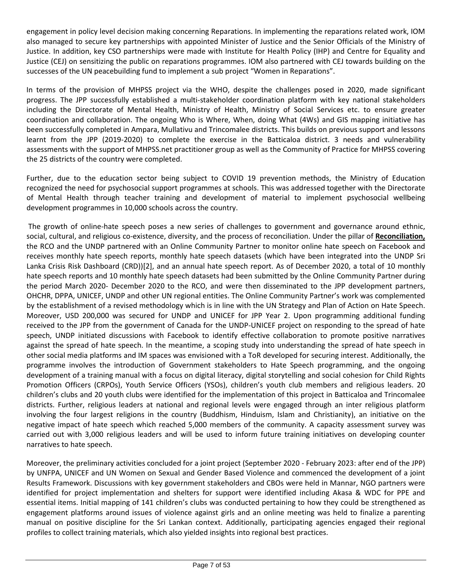engagement in policy level decision making concerning Reparations. In implementing the reparations related work, IOM also managed to secure key partnerships with appointed Minister of Justice and the Senior Officials of the Ministry of Justice. In addition, key CSO partnerships were made with Institute for Health Policy (IHP) and Centre for Equality and Justice (CEJ) on sensitizing the public on reparations programmes. IOM also partnered with CEJ towards building on the successes of the UN peacebuilding fund to implement a sub project "Women in Reparations".

In terms of the provision of MHPSS project via the WHO, despite the challenges posed in 2020, made significant progress. The JPP successfully established a multi-stakeholder coordination platform with key national stakeholders including the Directorate of Mental Health, Ministry of Health, Ministry of Social Services etc. to ensure greater coordination and collaboration. The ongoing Who is Where, When, doing What (4Ws) and GIS mapping initiative has been successfully completed in Ampara, Mullativu and Trincomalee districts. This builds on previous support and lessons learnt from the JPP (2019-2020) to complete the exercise in the Batticaloa district. 3 needs and vulnerability assessments with the support of MHPSS.net practitioner group as well as the Community of Practice for MHPSS covering the 25 districts of the country were completed.

Further, due to the education sector being subject to COVID 19 prevention methods, the Ministry of Education recognized the need for psychosocial support programmes at schools. This was addressed together with the Directorate of Mental Health through teacher training and development of material to implement psychosocial wellbeing development programmes in 10,000 schools across the country.

The growth of online-hate speech poses a new series of challenges to government and governance around ethnic, social, cultural, and religious co-existence, diversity, and the process of reconciliation. Under the pillar of **Reconciliation,** the RCO and the UNDP partnered with an Online Community Partner to monitor online hate speech on Facebook and receives monthly hate speech reports, monthly hate speech datasets (which have been integrated into the UNDP Sri Lanka Crisis Risk Dashboard (CRD))[2], and an annual hate speech report. As of December 2020, a total of 10 monthly hate speech reports and 10 monthly hate speech datasets had been submitted by the Online Community Partner during the period March 2020- December 2020 to the RCO, and were then disseminated to the JPP development partners, OHCHR, DPPA, UNICEF, UNDP and other UN regional entities. The Online Community Partner's work was complemented by the establishment of a revised methodology which is in line with the UN Strategy and Plan of Action on Hate Speech. Moreover, USD 200,000 was secured for UNDP and UNICEF for JPP Year 2. Upon programming additional funding received to the JPP from the government of Canada for the UNDP-UNICEF project on responding to the spread of hate speech, UNDP initiated discussions with Facebook to identify effective collaboration to promote positive narratives against the spread of hate speech. In the meantime, a scoping study into understanding the spread of hate speech in other social media platforms and IM spaces was envisioned with a ToR developed for securing interest. Additionally, the programme involves the introduction of Government stakeholders to Hate Speech programming, and the ongoing development of a training manual with a focus on digital literacy, digital storytelling and social cohesion for Child Rights Promotion Officers (CRPOs), Youth Service Officers (YSOs), children's youth club members and religious leaders. 20 children's clubs and 20 youth clubs were identified for the implementation of this project in Batticaloa and Trincomalee districts. Further, religious leaders at national and regional levels were engaged through an inter religious platform involving the four largest religions in the country (Buddhism, Hinduism, Islam and Christianity), an initiative on the negative impact of hate speech which reached 5,000 members of the community. A capacity assessment survey was carried out with 3,000 religious leaders and will be used to inform future training initiatives on developing counter narratives to hate speech.

Moreover, the preliminary activities concluded for a joint project (September 2020 - February 2023: after end of the JPP) by UNFPA, UNICEF and UN Women on Sexual and Gender Based Violence and commenced the development of a joint Results Framework. Discussions with key government stakeholders and CBOs were held in Mannar, NGO partners were identified for project implementation and shelters for support were identified including Akasa & WDC for PPE and essential items. Initial mapping of 141 children's clubs was conducted pertaining to how they could be strengthened as engagement platforms around issues of violence against girls and an online meeting was held to finalize a parenting manual on positive discipline for the Sri Lankan context. Additionally, participating agencies engaged their regional profiles to collect training materials, which also yielded insights into regional best practices.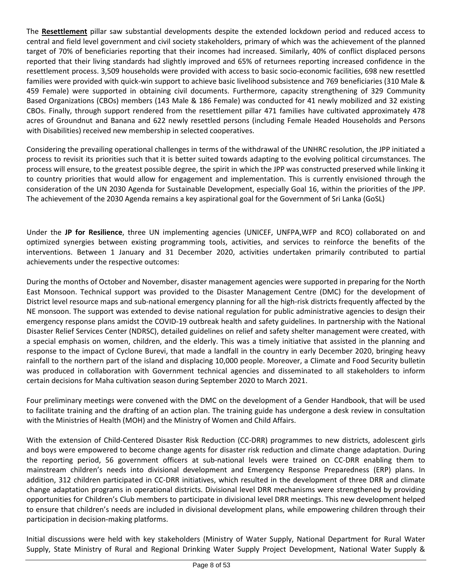The **Resettlement** pillar saw substantial developments despite the extended lockdown period and reduced access to central and field level government and civil society stakeholders, primary of which was the achievement of the planned target of 70% of beneficiaries reporting that their incomes had increased. Similarly, 40% of conflict displaced persons reported that their living standards had slightly improved and 65% of returnees reporting increased confidence in the resettlement process. 3,509 households were provided with access to basic socio-economic facilities, 698 new resettled families were provided with quick-win support to achieve basic livelihood subsistence and 769 beneficiaries (310 Male & 459 Female) were supported in obtaining civil documents. Furthermore, capacity strengthening of 329 Community Based Organizations (CBOs) members (143 Male & 186 Female) was conducted for 41 newly mobilized and 32 existing CBOs. Finally, through support rendered from the resettlement pillar 471 families have cultivated approximately 478 acres of Groundnut and Banana and 622 newly resettled persons (including Female Headed Households and Persons with Disabilities) received new membership in selected cooperatives.

Considering the prevailing operational challenges in terms of the withdrawal of the UNHRC resolution, the JPP initiated a process to revisit its priorities such that it is better suited towards adapting to the evolving political circumstances. The process will ensure, to the greatest possible degree, the spirit in which the JPP was constructed preserved while linking it to country priorities that would allow for engagement and implementation. This is currently envisioned through the consideration of the UN 2030 Agenda for Sustainable Development, especially Goal 16, within the priorities of the JPP. The achievement of the 2030 Agenda remains a key aspirational goal for the Government of Sri Lanka (GoSL)

Under the **JP for Resilience**, three UN implementing agencies (UNICEF, UNFPA,WFP and RCO) collaborated on and optimized synergies between existing programming tools, activities, and services to reinforce the benefits of the interventions. Between 1 January and 31 December 2020, activities undertaken primarily contributed to partial achievements under the respective outcomes:

During the months of October and November, disaster management agencies were supported in preparing for the North East Monsoon. Technical support was provided to the Disaster Management Centre (DMC) for the development of District level resource maps and sub-national emergency planning for all the high-risk districts frequently affected by the NE monsoon. The support was extended to devise national regulation for public administrative agencies to design their emergency response plans amidst the COVID-19 outbreak health and safety guidelines. In partnership with the National Disaster Relief Services Center (NDRSC), detailed guidelines on relief and safety shelter management were created, with a special emphasis on women, children, and the elderly. This was a timely initiative that assisted in the planning and response to the impact of Cyclone Burevi, that made a landfall in the country in early December 2020, bringing heavy rainfall to the northern part of the island and displacing 10,000 people. Moreover, a Climate and Food Security bulletin was produced in collaboration with Government technical agencies and disseminated to all stakeholders to inform certain decisions for Maha cultivation season during September 2020 to March 2021.

Four preliminary meetings were convened with the DMC on the development of a Gender Handbook, that will be used to facilitate training and the drafting of an action plan. The training guide has undergone a desk review in consultation with the Ministries of Health (MOH) and the Ministry of Women and Child Affairs.

With the extension of Child-Centered Disaster Risk Reduction (CC-DRR) programmes to new districts, adolescent girls and boys were empowered to become change agents for disaster risk reduction and climate change adaptation. During the reporting period, 56 government officers at sub-national levels were trained on CC-DRR enabling them to mainstream children's needs into divisional development and Emergency Response Preparedness (ERP) plans. In addition, 312 children participated in CC-DRR initiatives, which resulted in the development of three DRR and climate change adaptation programs in operational districts. Divisional level DRR mechanisms were strengthened by providing opportunities for Children's Club members to participate in divisional level DRR meetings. This new development helped to ensure that children's needs are included in divisional development plans, while empowering children through their participation in decision-making platforms.

Initial discussions were held with key stakeholders (Ministry of Water Supply, National Department for Rural Water Supply, State Ministry of Rural and Regional Drinking Water Supply Project Development, National Water Supply &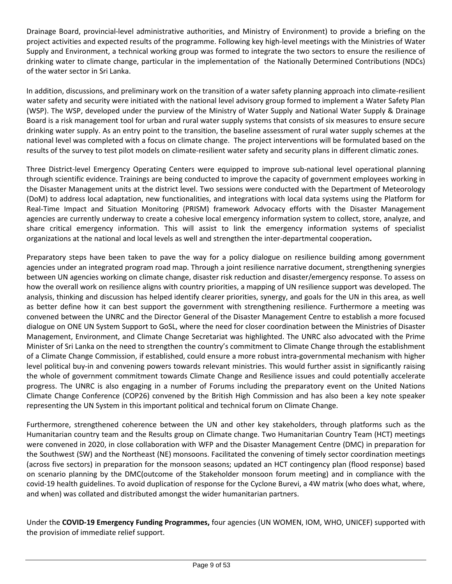Drainage Board, provincial-level administrative authorities, and Ministry of Environment) to provide a briefing on the project activities and expected results of the programme. Following key high-level meetings with the Ministries of Water Supply and Environment, a technical working group was formed to integrate the two sectors to ensure the resilience of drinking water to climate change, particular in the implementation of the Nationally Determined Contributions (NDCs) of the water sector in Sri Lanka.

In addition, discussions, and preliminary work on the transition of a water safety planning approach into climate-resilient water safety and security were initiated with the national level advisory group formed to implement a Water Safety Plan (WSP). The WSP, developed under the purview of the Ministry of Water Supply and National Water Supply & Drainage Board is a risk management tool for urban and rural water supply systems that consists of six measures to ensure secure drinking water supply. As an entry point to the transition, the baseline assessment of rural water supply schemes at the national level was completed with a focus on climate change. The project interventions will be formulated based on the results of the survey to test pilot models on climate-resilient water safety and security plans in different climatic zones.

Three District-level Emergency Operating Centers were equipped to improve sub-national level operational planning through scientific evidence. Trainings are being conducted to improve the capacity of government employees working in the Disaster Management units at the district level. Two sessions were conducted with the Department of Meteorology (DoM) to address local adaptation, new functionalities, and integrations with local data systems using the Platform for Real-Time Impact and Situation Monitoring (PRISM) framework Advocacy efforts with the Disaster Management agencies are currently underway to create a cohesive local emergency information system to collect, store, analyze, and share critical emergency information. This will assist to link the emergency information systems of specialist organizations at the national and local levels as well and strengthen the inter-departmental cooperation**.**

Preparatory steps have been taken to pave the way for a policy dialogue on resilience building among government agencies under an integrated program road map. Through a joint resilience narrative document, strengthening synergies between UN agencies working on climate change, disaster risk reduction and disaster/emergency response. To assess on how the overall work on resilience aligns with country priorities, a mapping of UN resilience support was developed. The analysis, thinking and discussion has helped identify clearer priorities, synergy, and goals for the UN in this area, as well as better define how it can best support the government with strengthening resilience. Furthermore a meeting was convened between the UNRC and the Director General of the Disaster Management Centre to establish a more focused dialogue on ONE UN System Support to GoSL, where the need for closer coordination between the Ministries of Disaster Management, Environment, and Climate Change Secretariat was highlighted. The UNRC also advocated with the Prime Minister of Sri Lanka on the need to strengthen the country's commitment to Climate Change through the establishment of a Climate Change Commission, if established, could ensure a more robust intra-governmental mechanism with higher level political buy-in and convening powers towards relevant ministries. This would further assist in significantly raising the whole of government commitment towards Climate Change and Resilience issues and could potentially accelerate progress. The UNRC is also engaging in a number of Forums including the preparatory event on the United Nations Climate Change Conference (COP26) convened by the British High Commission and has also been a key note speaker representing the UN System in this important political and technical forum on Climate Change.

Furthermore, strengthened coherence between the UN and other key stakeholders, through platforms such as the Humanitarian country team and the Results group on Climate change. Two Humanitarian Country Team (HCT) meetings were convened in 2020, in close collaboration with WFP and the Disaster Management Centre (DMC) in preparation for the Southwest (SW) and the Northeast (NE) monsoons. Facilitated the convening of timely sector coordination meetings (across five sectors) in preparation for the monsoon seasons; updated an HCT contingency plan (flood response) based on scenario planning by the DMC(outcome of the Stakeholder monsoon forum meeting) and in compliance with the covid-19 health guidelines. To avoid duplication of response for the Cyclone Burevi, a 4W matrix (who does what, where, and when) was collated and distributed amongst the wider humanitarian partners.

Under the **COVID-19 Emergency Funding Programmes,** four agencies (UN WOMEN, IOM, WHO, UNICEF) supported with the provision of immediate relief support.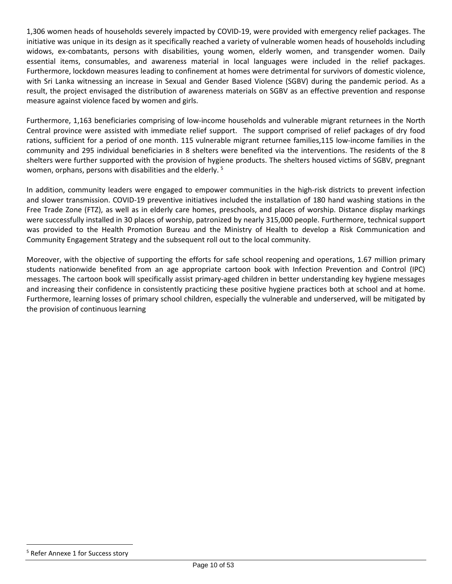1,306 women heads of households severely impacted by COVID-19, were provided with emergency relief packages. The initiative was unique in its design as it specifically reached a variety of vulnerable women heads of households including widows, ex-combatants, persons with disabilities, young women, elderly women, and transgender women. Daily essential items, consumables, and awareness material in local languages were included in the relief packages. Furthermore, lockdown measures leading to confinement at homes were detrimental for survivors of domestic violence, with Sri Lanka witnessing an increase in Sexual and Gender Based Violence (SGBV) during the pandemic period. As a result, the project envisaged the distribution of awareness materials on SGBV as an effective prevention and response measure against violence faced by women and girls.

Furthermore, 1,163 beneficiaries comprising of low-income households and vulnerable migrant returnees in the North Central province were assisted with immediate relief support. The support comprised of relief packages of dry food rations, sufficient for a period of one month. 115 vulnerable migrant returnee families,115 low-income families in the community and 295 individual beneficiaries in 8 shelters were benefited via the interventions. The residents of the 8 shelters were further supported with the provision of hygiene products. The shelters housed victims of SGBV, pregnant women, orphans, persons with disabilities and the elderly. <sup>5</sup>

In addition, community leaders were engaged to empower communities in the high-risk districts to prevent infection and slower transmission. COVID-19 preventive initiatives included the installation of 180 hand washing stations in the Free Trade Zone (FTZ), as well as in elderly care homes, preschools, and places of worship. Distance display markings were successfully installed in 30 places of worship, patronized by nearly 315,000 people. Furthermore, technical support was provided to the Health Promotion Bureau and the Ministry of Health to develop a Risk Communication and Community Engagement Strategy and the subsequent roll out to the local community.

Moreover, with the objective of supporting the efforts for safe school reopening and operations, 1.67 million primary students nationwide benefited from an age appropriate cartoon book with Infection Prevention and Control (IPC) messages. The cartoon book will specifically assist primary-aged children in better understanding key hygiene messages and increasing their confidence in consistently practicing these positive hygiene practices both at school and at home. Furthermore, learning losses of primary school children, especially the vulnerable and underserved, will be mitigated by the provision of continuous learning

<sup>5</sup> Refer Annexe 1 for Success story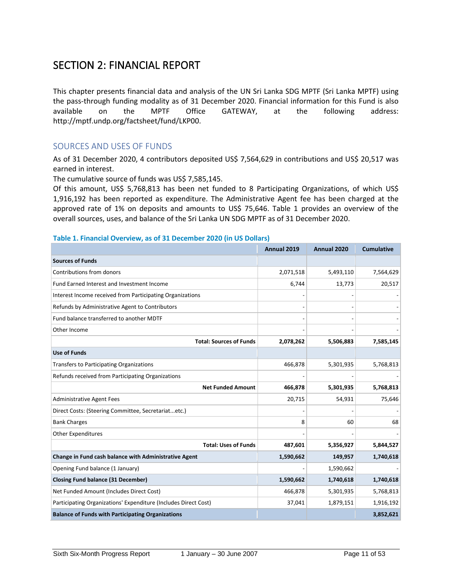### <span id="page-10-0"></span>SECTION 2: FINANCIAL REPORT

This chapter presents financial data and analysis of the UN Sri Lanka SDG MPTF (Sri Lanka MPTF) using the pass-through funding modality as of 31 December 2020. Financial information for this Fund is also available on the MPTF Office GATEWAY, at the following address: http://mptf.undp.org/factsheet/fund/LKP00.

#### SOURCES AND USES OF FUNDS

As of 31 December 2020, 4 contributors deposited US\$ 7,564,629 in contributions and US\$ 20,517 was earned in interest.

The cumulative source of funds was US\$ 7,585,145.

Of this amount, US\$ 5,768,813 has been net funded to 8 Participating Organizations, of which US\$ 1,916,192 has been reported as expenditure. The Administrative Agent fee has been charged at the approved rate of 1% on deposits and amounts to US\$ 75,646. Table 1 provides an overview of the overall sources, uses, and balance of the Sri Lanka UN SDG MPTF as of 31 December 2020.

#### **Table 1. Financial Overview, as of 31 December 2020 (in US Dollars)**

|                                                                 | Annual 2019 | Annual 2020 | <b>Cumulative</b> |
|-----------------------------------------------------------------|-------------|-------------|-------------------|
| <b>Sources of Funds</b>                                         |             |             |                   |
| Contributions from donors                                       | 2,071,518   | 5,493,110   | 7,564,629         |
| Fund Earned Interest and Investment Income                      | 6,744       | 13,773      | 20,517            |
| Interest Income received from Participating Organizations       |             |             |                   |
| Refunds by Administrative Agent to Contributors                 |             |             |                   |
| Fund balance transferred to another MDTF                        |             |             |                   |
| Other Income                                                    |             |             |                   |
| <b>Total: Sources of Funds</b>                                  | 2,078,262   | 5,506,883   | 7,585,145         |
| <b>Use of Funds</b>                                             |             |             |                   |
| <b>Transfers to Participating Organizations</b>                 | 466,878     | 5,301,935   | 5,768,813         |
| Refunds received from Participating Organizations               |             |             |                   |
| <b>Net Funded Amount</b>                                        | 466,878     | 5,301,935   | 5,768,813         |
| <b>Administrative Agent Fees</b>                                | 20,715      | 54,931      | 75,646            |
| Direct Costs: (Steering Committee, Secretariatetc.)             |             |             |                   |
| <b>Bank Charges</b>                                             | 8           | 60          | 68                |
| <b>Other Expenditures</b>                                       |             |             |                   |
| <b>Total: Uses of Funds</b>                                     | 487,601     | 5,356,927   | 5,844,527         |
| Change in Fund cash balance with Administrative Agent           | 1,590,662   | 149,957     | 1,740,618         |
| Opening Fund balance (1 January)                                |             | 1,590,662   |                   |
| <b>Closing Fund balance (31 December)</b>                       | 1,590,662   | 1,740,618   | 1,740,618         |
| Net Funded Amount (Includes Direct Cost)                        | 466,878     | 5,301,935   | 5,768,813         |
| Participating Organizations' Expenditure (Includes Direct Cost) | 37,041      | 1,879,151   | 1,916,192         |
| <b>Balance of Funds with Participating Organizations</b>        |             |             | 3,852,621         |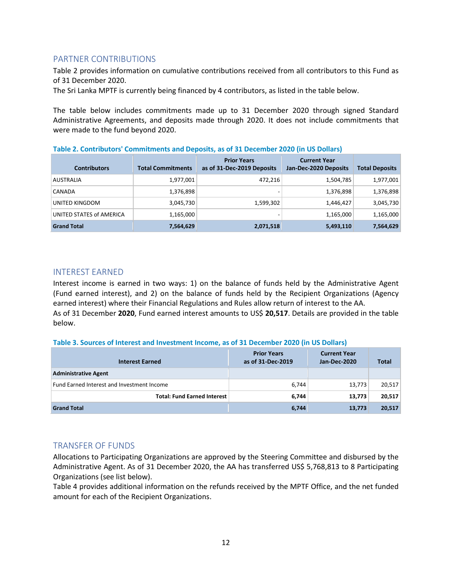#### <span id="page-11-0"></span>PARTNER CONTRIBUTIONS

Table 2 provides information on cumulative contributions received from all contributors to this Fund as of 31 December 2020.

The Sri Lanka MPTF is currently being financed by 4 contributors, as listed in the table below.

The table below includes commitments made up to 31 December 2020 through signed Standard Administrative Agreements, and deposits made through 2020. It does not include commitments that were made to the fund beyond 2020.

| Table 2. Contributors' Commitments and Deposits, as of 31 December 2020 (in US Dollars) |  |
|-----------------------------------------------------------------------------------------|--|
|                                                                                         |  |

| <b>Contributors</b>      | <b>Total Commitments</b> | <b>Prior Years</b><br>as of 31-Dec-2019 Deposits | <b>Current Year</b><br>Jan-Dec-2020 Deposits | <b>Total Deposits</b> |
|--------------------------|--------------------------|--------------------------------------------------|----------------------------------------------|-----------------------|
| <b>AUSTRALIA</b>         | 1,977,001                | 472,216                                          | 1,504,785                                    | 1,977,001             |
| CANADA                   | 1,376,898                | $\overline{\phantom{a}}$                         | 1,376,898                                    | 1,376,898             |
| UNITED KINGDOM           | 3,045,730                | 1,599,302                                        | 1,446,427                                    | 3,045,730             |
| UNITED STATES of AMERICA | 1,165,000                | -                                                | 1,165,000                                    | 1,165,000             |
| <b>Grand Total</b>       | 7,564,629                | 2,071,518                                        | 5,493,110                                    | 7,564,629             |

#### <span id="page-11-1"></span>INTEREST EARNED

Interest income is earned in two ways: 1) on the balance of funds held by the Administrative Agent (Fund earned interest), and 2) on the balance of funds held by the Recipient Organizations (Agency earned interest) where their Financial Regulations and Rules allow return of interest to the AA. As of 31 December **2020**, Fund earned interest amounts to US\$ **20,517**. Details are provided in the table below.

#### **Table 3. Sources of Interest and Investment Income, as of 31 December 2020 (in US Dollars)**

| <b>Interest Earned</b>                     | <b>Prior Years</b><br>as of 31-Dec-2019 | <b>Current Year</b><br>Jan-Dec-2020 | <b>Total</b> |
|--------------------------------------------|-----------------------------------------|-------------------------------------|--------------|
| <b>Administrative Agent</b>                |                                         |                                     |              |
| Fund Earned Interest and Investment Income | 6,744                                   | 13,773                              | 20,517       |
| <b>Total: Fund Earned Interest</b>         | 6,744                                   | 13,773                              | 20,517       |
| <b>Grand Total</b>                         | 6,744                                   | 13,773                              | 20,517       |

#### <span id="page-11-2"></span>TRANSFER OF FUNDS

Allocations to Participating Organizations are approved by the Steering Committee and disbursed by the Administrative Agent. As of 31 December 2020, the AA has transferred US\$ 5,768,813 to 8 Participating Organizations (see list below).

Table 4 provides additional information on the refunds received by the MPTF Office, and the net funded amount for each of the Recipient Organizations.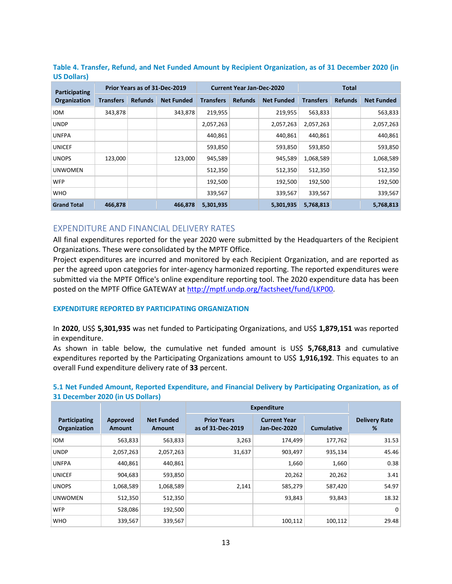| Participating      | Prior Years as of 31-Dec-2019 |                |                   | <b>Current Year Jan-Dec-2020</b> |                |                   | <b>Total</b>     |                |                   |
|--------------------|-------------------------------|----------------|-------------------|----------------------------------|----------------|-------------------|------------------|----------------|-------------------|
| Organization       | <b>Transfers</b>              | <b>Refunds</b> | <b>Net Funded</b> | <b>Transfers</b>                 | <b>Refunds</b> | <b>Net Funded</b> | <b>Transfers</b> | <b>Refunds</b> | <b>Net Funded</b> |
| <b>IOM</b>         | 343,878                       |                | 343,878           | 219,955                          |                | 219,955           | 563,833          |                | 563,833           |
| <b>UNDP</b>        |                               |                |                   | 2,057,263                        |                | 2,057,263         | 2,057,263        |                | 2,057,263         |
| <b>UNFPA</b>       |                               |                |                   | 440,861                          |                | 440,861           | 440,861          |                | 440,861           |
| <b>UNICEF</b>      |                               |                |                   | 593,850                          |                | 593,850           | 593,850          |                | 593,850           |
| <b>UNOPS</b>       | 123,000                       |                | 123,000           | 945,589                          |                | 945,589           | 1,068,589        |                | 1,068,589         |
| <b>UNWOMEN</b>     |                               |                |                   | 512,350                          |                | 512,350           | 512,350          |                | 512,350           |
| <b>WFP</b>         |                               |                |                   | 192,500                          |                | 192,500           | 192,500          |                | 192,500           |
| <b>WHO</b>         |                               |                |                   | 339,567                          |                | 339,567           | 339,567          |                | 339,567           |
| <b>Grand Total</b> | 466,878                       |                | 466,878           | 5,301,935                        |                | 5,301,935         | 5,768,813        |                | 5,768,813         |

#### **Table 4. Transfer, Refund, and Net Funded Amount by Recipient Organization, as of 31 December 2020 (in US Dollars)**

#### <span id="page-12-0"></span>EXPENDITURE AND FINANCIAL DELIVERY RATES

All final expenditures reported for the year 2020 were submitted by the Headquarters of the Recipient Organizations. These were consolidated by the MPTF Office.

Project expenditures are incurred and monitored by each Recipient Organization, and are reported as per the agreed upon categories for inter-agency harmonized reporting. The reported expenditures were submitted via the MPTF Office's online expenditure reporting tool. The 2020 expenditure data has been posted on the MPTF Office GATEWAY a[t http://mptf.undp.org/factsheet/fund/LKP00.](http://mptf.undp.org/factsheet/fund/LKP00)

#### **EXPENDITURE REPORTED BY PARTICIPATING ORGANIZATION**

In **2020**, US\$ **5,301,935** was net funded to Participating Organizations, and US\$ **1,879,151** was reported in expenditure.

As shown in table below, the cumulative net funded amount is US\$ **5,768,813** and cumulative expenditures reported by the Participating Organizations amount to US\$ **1,916,192**. This equates to an overall Fund expenditure delivery rate of **33** percent.

#### **5.1 Net Funded Amount, Reported Expenditure, and Financial Delivery by Participating Organization, as of 31 December 2020 (in US Dollars)**

|                               |                                  |                             | <b>Expenditure</b>                      |                                     |                   |                           |
|-------------------------------|----------------------------------|-----------------------------|-----------------------------------------|-------------------------------------|-------------------|---------------------------|
| Participating<br>Organization | <b>Approved</b><br><b>Amount</b> | <b>Net Funded</b><br>Amount | <b>Prior Years</b><br>as of 31-Dec-2019 | <b>Current Year</b><br>Jan-Dec-2020 | <b>Cumulative</b> | <b>Delivery Rate</b><br>% |
| <b>IOM</b>                    | 563,833                          | 563,833                     | 3,263                                   | 174,499                             | 177,762           | 31.53                     |
| <b>UNDP</b>                   | 2,057,263                        | 2,057,263                   | 31,637                                  | 903,497                             | 935,134           | 45.46                     |
| <b>UNFPA</b>                  | 440,861                          | 440,861                     |                                         | 1,660                               | 1,660             | 0.38                      |
| <b>UNICEF</b>                 | 904,683                          | 593,850                     |                                         | 20,262                              | 20,262            | 3.41                      |
| <b>UNOPS</b>                  | 1,068,589                        | 1,068,589                   | 2,141                                   | 585,279                             | 587,420           | 54.97                     |
| <b>UNWOMEN</b>                | 512,350                          | 512,350                     |                                         | 93,843                              | 93,843            | 18.32                     |
| <b>WFP</b>                    | 528,086                          | 192,500                     |                                         |                                     |                   | 0                         |
| <b>WHO</b>                    | 339,567                          | 339,567                     |                                         | 100,112                             | 100,112           | 29.48                     |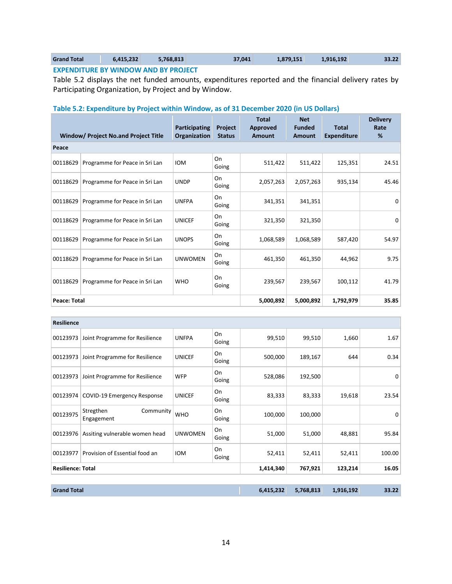| <b>Grand Total</b>                             | 6.415.232 | 5.768.813 | 37.041 | 1.879.151 | 1.916.192 | 33.22 |  |
|------------------------------------------------|-----------|-----------|--------|-----------|-----------|-------|--|
| <b>EVECTIBITING BY MINIBALL AND BY BRAILER</b> |           |           |        |           |           |       |  |

**EXPENDITURE BY WINDOW AND BY PROJECT**

Table 5.2 displays the net funded amounts, expenditures reported and the financial delivery rates by Participating Organization, by Project and by Window.

#### **Table 5.2: Expenditure by Project within Window, as of 31 December 2020 (in US Dollars)**

|                     | Window/ Project No.and Project Title | Participating<br>Organization | Project<br><b>Status</b> | <b>Total</b><br><b>Approved</b><br><b>Amount</b> | <b>Net</b><br><b>Funded</b><br><b>Amount</b> | <b>Total</b><br><b>Expenditure</b> | <b>Delivery</b><br>Rate<br>% |
|---------------------|--------------------------------------|-------------------------------|--------------------------|--------------------------------------------------|----------------------------------------------|------------------------------------|------------------------------|
| Peace               |                                      |                               |                          |                                                  |                                              |                                    |                              |
| 00118629            | Programme for Peace in Sri Lan       | <b>IOM</b>                    | On<br>Going              | 511,422                                          | 511,422                                      | 125,351                            | 24.51                        |
| 00118629            | Programme for Peace in Sri Lan       | <b>UNDP</b>                   | On<br>Going              | 2,057,263                                        | 2,057,263                                    | 935,134                            | 45.46                        |
| 00118629            | Programme for Peace in Sri Lan       | <b>UNFPA</b>                  | On<br>Going              | 341,351                                          | 341,351                                      |                                    | $\Omega$                     |
| 00118629            | Programme for Peace in Sri Lan       | <b>UNICEF</b>                 | On<br>Going              | 321,350                                          | 321,350                                      |                                    | $\Omega$                     |
| 00118629            | Programme for Peace in Sri Lan       | <b>UNOPS</b>                  | On<br>Going              | 1,068,589                                        | 1,068,589                                    | 587,420                            | 54.97                        |
| 00118629            | Programme for Peace in Sri Lan       | <b>UNWOMEN</b>                | On<br>Going              | 461,350                                          | 461,350                                      | 44,962                             | 9.75                         |
| 00118629            | Programme for Peace in Sri Lan       | <b>WHO</b>                    | On<br>Going              | 239,567                                          | 239,567                                      | 100,112                            | 41.79                        |
| <b>Peace: Total</b> |                                      |                               |                          | 5,000,892                                        | 5,000,892                                    | 1,792,979                          | 35.85                        |

| <b>Resilience</b>        |                                      |                |             |           |           |           |        |
|--------------------------|--------------------------------------|----------------|-------------|-----------|-----------|-----------|--------|
| 00123973                 | Joint Programme for Resilience       | <b>UNFPA</b>   | On<br>Going | 99,510    | 99,510    | 1,660     | 1.67   |
| 00123973                 | Joint Programme for Resilience       | <b>UNICEF</b>  | On<br>Going | 500,000   | 189,167   | 644       | 0.34   |
| 00123973                 | Joint Programme for Resilience       | <b>WFP</b>     | On<br>Going | 528,086   | 192,500   |           | 0      |
| 00123974                 | <b>COVID-19 Emergency Response</b>   | <b>UNICEF</b>  | On<br>Going | 83,333    | 83,333    | 19,618    | 23.54  |
| 00123975                 | Stregthen<br>Community<br>Engagement | <b>WHO</b>     | On<br>Going | 100,000   | 100,000   |           | 0      |
| 00123976                 | Assiting vulnerable women head       | <b>UNWOMEN</b> | On<br>Going | 51,000    | 51,000    | 48,881    | 95.84  |
| 00123977                 | Provision of Essential food an       | <b>IOM</b>     | On<br>Going | 52,411    | 52,411    | 52,411    | 100.00 |
| <b>Resilience: Total</b> |                                      | 1,414,340      | 767,921     | 123,214   | 16.05     |           |        |
|                          |                                      |                |             |           |           |           |        |
| <b>Grand Total</b>       |                                      |                |             | 6,415,232 | 5,768,813 | 1,916,192 | 33.22  |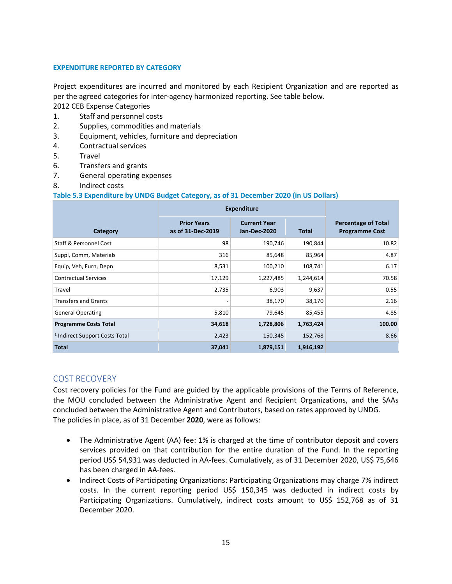#### **EXPENDITURE REPORTED BY CATEGORY**

Project expenditures are incurred and monitored by each Recipient Organization and are reported as per the agreed categories for inter-agency harmonized reporting. See table below.

2012 CEB Expense Categories

- 1. Staff and personnel costs
- 2. Supplies, commodities and materials
- 3. Equipment, vehicles, furniture and depreciation
- 4. Contractual services
- 5. Travel
- 6. Transfers and grants
- 7. General operating expenses
- 8. Indirect costs

#### **Table 5.3 Expenditure by UNDG Budget Category, as of 31 December 2020 (in US Dollars)**

|                                           | <b>Expenditure</b>                      |                                     |              |                                                     |
|-------------------------------------------|-----------------------------------------|-------------------------------------|--------------|-----------------------------------------------------|
| Category                                  | <b>Prior Years</b><br>as of 31-Dec-2019 | <b>Current Year</b><br>Jan-Dec-2020 | <b>Total</b> | <b>Percentage of Total</b><br><b>Programme Cost</b> |
| Staff & Personnel Cost                    | 98                                      | 190,746                             | 190,844      | 10.82                                               |
| Suppl, Comm, Materials                    | 316                                     | 85,648                              | 85,964       | 4.87                                                |
| Equip, Veh, Furn, Depn                    | 8,531                                   | 100,210                             | 108,741      | 6.17                                                |
| <b>Contractual Services</b>               | 17,129                                  | 1,227,485                           | 1,244,614    | 70.58                                               |
| Travel                                    | 2,735                                   | 6,903                               | 9,637        | 0.55                                                |
| <b>Transfers and Grants</b>               |                                         | 38,170                              | 38,170       | 2.16                                                |
| <b>General Operating</b>                  | 5,810                                   | 79,645                              | 85,455       | 4.85                                                |
| <b>Programme Costs Total</b>              | 34,618                                  | 1,728,806                           | 1,763,424    | 100.00                                              |
| <sup>1</sup> Indirect Support Costs Total | 2,423                                   | 150,345                             | 152,768      | 8.66                                                |
| <b>Total</b>                              | 37,041                                  | 1,879,151                           | 1,916,192    |                                                     |

#### <span id="page-14-0"></span>COST RECOVERY

Cost recovery policies for the Fund are guided by the applicable provisions of the Terms of Reference, the MOU concluded between the Administrative Agent and Recipient Organizations, and the SAAs concluded between the Administrative Agent and Contributors, based on rates approved by UNDG. The policies in place, as of 31 December **2020**, were as follows:

- The Administrative Agent (AA) fee: 1% is charged at the time of contributor deposit and covers services provided on that contribution for the entire duration of the Fund. In the reporting period US\$ 54,931 was deducted in AA-fees. Cumulatively, as of 31 December 2020, US\$ 75,646 has been charged in AA-fees.
- Indirect Costs of Participating Organizations: Participating Organizations may charge 7% indirect costs. In the current reporting period US\$ 150,345 was deducted in indirect costs by Participating Organizations. Cumulatively, indirect costs amount to US\$ 152,768 as of 31 December 2020.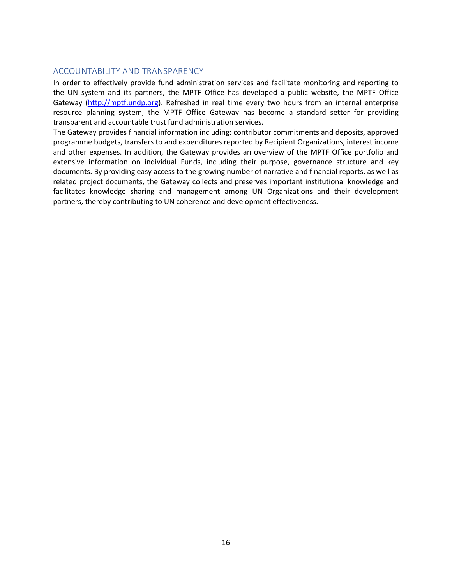#### <span id="page-15-0"></span>ACCOUNTABILITY AND TRANSPARENCY

In order to effectively provide fund administration services and facilitate monitoring and reporting to the UN system and its partners, the MPTF Office has developed a public website, the MPTF Office Gateway [\(http://mptf.undp.org\)](http://mptf.undp.org/). Refreshed in real time every two hours from an internal enterprise resource planning system, the MPTF Office Gateway has become a standard setter for providing transparent and accountable trust fund administration services.

The Gateway provides financial information including: contributor commitments and deposits, approved programme budgets, transfers to and expenditures reported by Recipient Organizations, interest income and other expenses. In addition, the Gateway provides an overview of the MPTF Office portfolio and extensive information on individual Funds, including their purpose, governance structure and key documents. By providing easy access to the growing number of narrative and financial reports, as well as related project documents, the Gateway collects and preserves important institutional knowledge and facilitates knowledge sharing and management among UN Organizations and their development partners, thereby contributing to UN coherence and development effectiveness.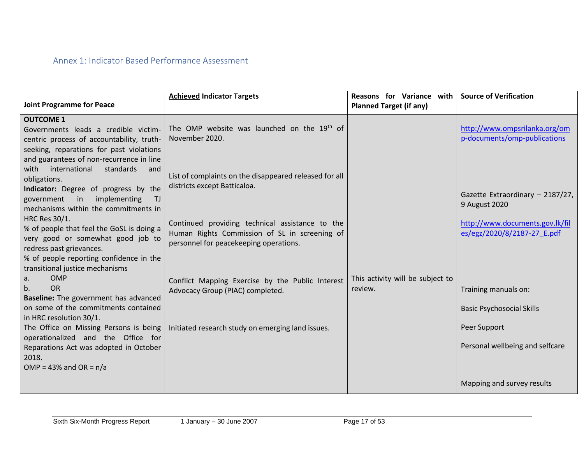<span id="page-16-0"></span>

| <b>Joint Programme for Peace</b>                                                                                                                                                                                                                                                                                                                             | <b>Achieved Indicator Targets</b>                                                                                                                                                                                                    | Reasons for Variance with<br><b>Planned Target (if any)</b> | <b>Source of Verification</b>                                                                                       |
|--------------------------------------------------------------------------------------------------------------------------------------------------------------------------------------------------------------------------------------------------------------------------------------------------------------------------------------------------------------|--------------------------------------------------------------------------------------------------------------------------------------------------------------------------------------------------------------------------------------|-------------------------------------------------------------|---------------------------------------------------------------------------------------------------------------------|
| <b>OUTCOME 1</b><br>Governments leads a credible victim-<br>centric process of accountability, truth-<br>seeking, reparations for past violations<br>and guarantees of non-recurrence in line<br>with<br>international standards<br>and                                                                                                                      | The OMP website was launched on the 19 <sup>th</sup> of<br>November 2020.                                                                                                                                                            |                                                             | http://www.ompsrilanka.org/om<br>p-documents/omp-publications                                                       |
| obligations.<br>Indicator: Degree of progress by the<br>government in<br>implementing<br>T <sub>J</sub><br>mechanisms within the commitments in<br>HRC Res 30/1.<br>% of people that feel the GoSL is doing a<br>very good or somewhat good job to<br>redress past grievances.<br>% of people reporting confidence in the<br>transitional justice mechanisms | List of complaints on the disappeared released for all<br>districts except Batticaloa.<br>Continued providing technical assistance to the<br>Human Rights Commission of SL in screening of<br>personnel for peacekeeping operations. |                                                             | Gazette Extraordinary - 2187/27,<br>9 August 2020<br>http://www.documents.gov.lk/fil<br>es/egz/2020/8/2187-27 E.pdf |
| <b>OMP</b><br>a.<br><b>OR</b><br>b.<br>Baseline: The government has advanced<br>on some of the commitments contained<br>in HRC resolution 30/1.<br>operationalized and the Office for<br>Reparations Act was adopted in October<br>2018.                                                                                                                     | Conflict Mapping Exercise by the Public Interest<br>Advocacy Group (PIAC) completed.<br>The Office on Missing Persons is being   Initiated research study on emerging land issues.                                                   | This activity will be subject to<br>review.                 | Training manuals on:<br><b>Basic Psychosocial Skills</b><br>Peer Support<br>Personal wellbeing and selfcare         |
| OMP = $43\%$ and OR = $n/a$                                                                                                                                                                                                                                                                                                                                  |                                                                                                                                                                                                                                      |                                                             | Mapping and survey results                                                                                          |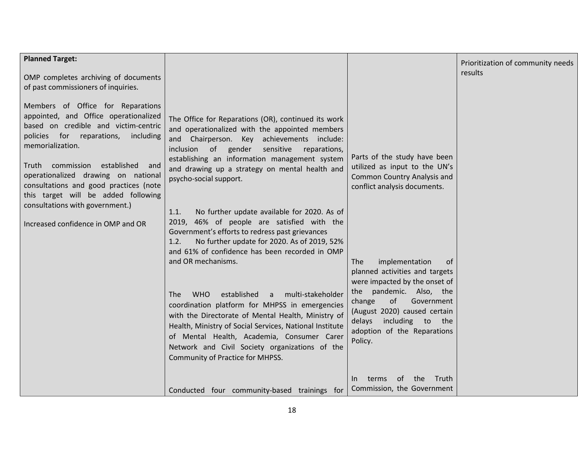| <b>Planned Target:</b>                                                                                                                                                                                                                                                                                                                                                                                                      |                                                                                                                                                                                                                                                                                                                                                                                                                                                                                                                                                     |                                                                                                                                                                  | Prioritization of community needs |
|-----------------------------------------------------------------------------------------------------------------------------------------------------------------------------------------------------------------------------------------------------------------------------------------------------------------------------------------------------------------------------------------------------------------------------|-----------------------------------------------------------------------------------------------------------------------------------------------------------------------------------------------------------------------------------------------------------------------------------------------------------------------------------------------------------------------------------------------------------------------------------------------------------------------------------------------------------------------------------------------------|------------------------------------------------------------------------------------------------------------------------------------------------------------------|-----------------------------------|
| OMP completes archiving of documents<br>of past commissioners of inquiries.                                                                                                                                                                                                                                                                                                                                                 |                                                                                                                                                                                                                                                                                                                                                                                                                                                                                                                                                     |                                                                                                                                                                  | results                           |
| Members of Office for Reparations<br>appointed, and Office operationalized<br>based on credible and victim-centric<br>policies for reparations,<br>including<br>memorialization.<br>Truth commission<br>established<br>and<br>operationalized drawing on national<br>consultations and good practices (note<br>this target will be added following<br>consultations with government.)<br>Increased confidence in OMP and OR | The Office for Reparations (OR), continued its work<br>and operationalized with the appointed members<br>and Chairperson. Key achievements include:<br>inclusion of gender<br>sensitive<br>reparations,<br>establishing an information management system<br>and drawing up a strategy on mental health and<br>psycho-social support.<br>No further update available for 2020. As of<br>1.1.<br>2019, 46% of people are satisfied with the<br>Government's efforts to redress past grievances<br>No further update for 2020. As of 2019, 52%<br>1.2. | Parts of the study have been<br>utilized as input to the UN's<br>Common Country Analysis and<br>conflict analysis documents.                                     |                                   |
|                                                                                                                                                                                                                                                                                                                                                                                                                             | and 61% of confidence has been recorded in OMP<br>and OR mechanisms.                                                                                                                                                                                                                                                                                                                                                                                                                                                                                | implementation<br>The<br>0f<br>planned activities and targets<br>were impacted by the onset of                                                                   |                                   |
|                                                                                                                                                                                                                                                                                                                                                                                                                             | <b>WHO</b><br>established<br>multi-stakeholder<br><b>The</b><br>a<br>coordination platform for MHPSS in emergencies<br>with the Directorate of Mental Health, Ministry of<br>Health, Ministry of Social Services, National Institute<br>of Mental Health, Academia, Consumer Carer<br>Network and Civil Society organizations of the<br>Community of Practice for MHPSS.                                                                                                                                                                            | the pandemic. Also, the<br>of<br>Government<br>change<br>(August 2020) caused certain<br>including to<br>the<br>delays<br>adoption of the Reparations<br>Policy. |                                   |
|                                                                                                                                                                                                                                                                                                                                                                                                                             | Conducted four community-based trainings for                                                                                                                                                                                                                                                                                                                                                                                                                                                                                                        | of the<br>Truth<br>terms<br>In<br>Commission, the Government                                                                                                     |                                   |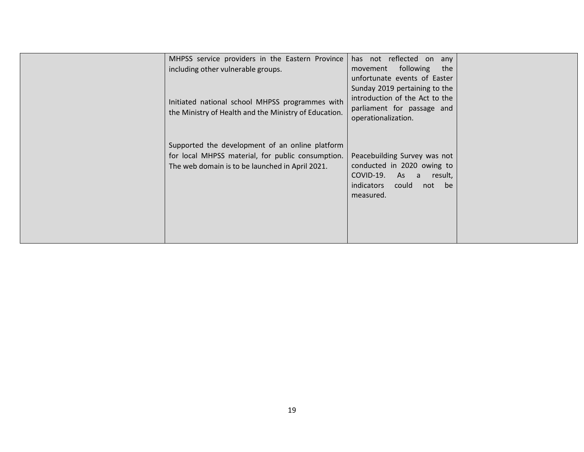| MHPSS service providers in the Eastern Province<br>including other vulnerable groups.<br>Initiated national school MHPSS programmes with<br>the Ministry of Health and the Ministry of Education. | has not reflected on any<br>movement following<br>the<br>unfortunate events of Easter<br>Sunday 2019 pertaining to the<br>introduction of the Act to the<br>parliament for passage and<br>operationalization. |  |
|---------------------------------------------------------------------------------------------------------------------------------------------------------------------------------------------------|---------------------------------------------------------------------------------------------------------------------------------------------------------------------------------------------------------------|--|
| Supported the development of an online platform<br>for local MHPSS material, for public consumption.<br>The web domain is to be launched in April 2021.                                           | Peacebuilding Survey was not<br>conducted in 2020 owing to<br>COVID-19. As a<br>result,<br><i>indicators</i><br>could<br>not be<br>measured.                                                                  |  |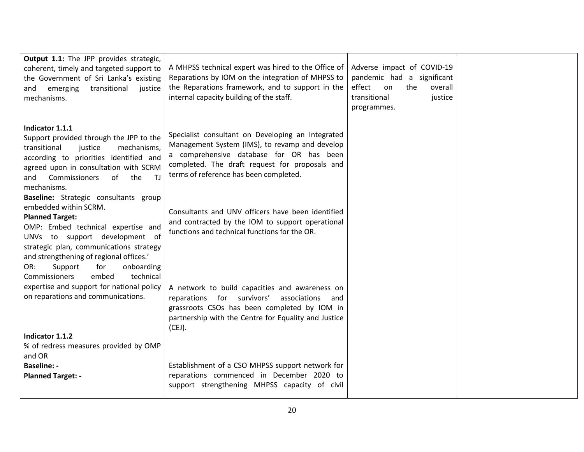| Output 1.1: The JPP provides strategic,<br>coherent, timely and targeted support to<br>the Government of Sri Lanka's existing<br>transitional<br>justice<br>and<br>emerging<br>mechanisms.                                                                                                                                           | A MHPSS technical expert was hired to the Office of<br>Reparations by IOM on the integration of MHPSS to<br>the Reparations framework, and to support in the<br>internal capacity building of the staff.                                    | Adverse impact of COVID-19<br>pandemic had a significant<br>effect<br>the<br>overall<br>on<br>transitional<br>justice<br>programmes. |  |
|--------------------------------------------------------------------------------------------------------------------------------------------------------------------------------------------------------------------------------------------------------------------------------------------------------------------------------------|---------------------------------------------------------------------------------------------------------------------------------------------------------------------------------------------------------------------------------------------|--------------------------------------------------------------------------------------------------------------------------------------|--|
| Indicator 1.1.1<br>Support provided through the JPP to the<br>transitional<br>justice<br>mechanisms,<br>according to priorities identified and<br>agreed upon in consultation with SCRM<br>Commissioners<br>of the<br>- TJ<br>and<br>mechanisms.                                                                                     | Specialist consultant on Developing an Integrated<br>Management System (IMS), to revamp and develop<br>a comprehensive database for OR has been<br>completed. The draft request for proposals and<br>terms of reference has been completed. |                                                                                                                                      |  |
| Baseline: Strategic consultants group<br>embedded within SCRM.<br><b>Planned Target:</b><br>OMP: Embed technical expertise and<br>UNVs to support development of<br>strategic plan, communications strategy<br>and strengthening of regional offices.'<br>onboarding<br>OR:<br>Support<br>for<br>technical<br>embed<br>Commissioners | Consultants and UNV officers have been identified<br>and contracted by the IOM to support operational<br>functions and technical functions for the OR.                                                                                      |                                                                                                                                      |  |
| expertise and support for national policy<br>on reparations and communications.                                                                                                                                                                                                                                                      | A network to build capacities and awareness on<br>reparations for survivors'<br>associations and<br>grassroots CSOs has been completed by IOM in<br>partnership with the Centre for Equality and Justice<br>(CEJ).                          |                                                                                                                                      |  |
| Indicator 1.1.2                                                                                                                                                                                                                                                                                                                      |                                                                                                                                                                                                                                             |                                                                                                                                      |  |
| % of redress measures provided by OMP                                                                                                                                                                                                                                                                                                |                                                                                                                                                                                                                                             |                                                                                                                                      |  |
|                                                                                                                                                                                                                                                                                                                                      |                                                                                                                                                                                                                                             |                                                                                                                                      |  |
| and OR<br><b>Baseline: -</b>                                                                                                                                                                                                                                                                                                         | Establishment of a CSO MHPSS support network for                                                                                                                                                                                            |                                                                                                                                      |  |
|                                                                                                                                                                                                                                                                                                                                      |                                                                                                                                                                                                                                             |                                                                                                                                      |  |
| <b>Planned Target: -</b>                                                                                                                                                                                                                                                                                                             | reparations commenced in December 2020 to                                                                                                                                                                                                   |                                                                                                                                      |  |
|                                                                                                                                                                                                                                                                                                                                      | support strengthening MHPSS capacity of civil                                                                                                                                                                                               |                                                                                                                                      |  |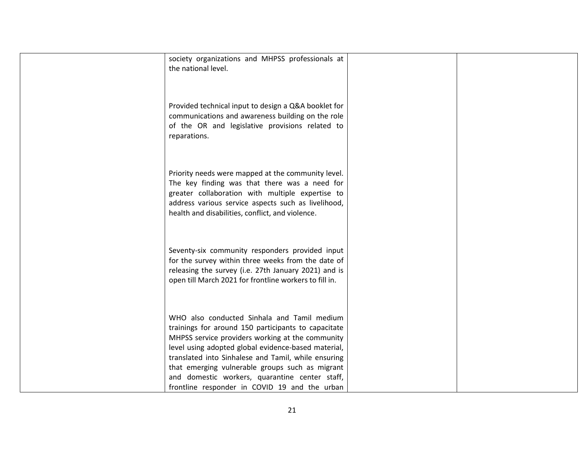| the national level. | society organizations and MHPSS professionals at                                                                                                                                                                                                                                                                                                                                                                           |
|---------------------|----------------------------------------------------------------------------------------------------------------------------------------------------------------------------------------------------------------------------------------------------------------------------------------------------------------------------------------------------------------------------------------------------------------------------|
| reparations.        | Provided technical input to design a Q&A booklet for<br>communications and awareness building on the role<br>of the OR and legislative provisions related to                                                                                                                                                                                                                                                               |
|                     | Priority needs were mapped at the community level.<br>The key finding was that there was a need for<br>greater collaboration with multiple expertise to<br>address various service aspects such as livelihood,<br>health and disabilities, conflict, and violence.                                                                                                                                                         |
|                     | Seventy-six community responders provided input<br>for the survey within three weeks from the date of<br>releasing the survey (i.e. 27th January 2021) and is<br>open till March 2021 for frontline workers to fill in.                                                                                                                                                                                                    |
|                     | WHO also conducted Sinhala and Tamil medium<br>trainings for around 150 participants to capacitate<br>MHPSS service providers working at the community<br>level using adopted global evidence-based material,<br>translated into Sinhalese and Tamil, while ensuring<br>that emerging vulnerable groups such as migrant<br>and domestic workers, quarantine center staff,<br>frontline responder in COVID 19 and the urban |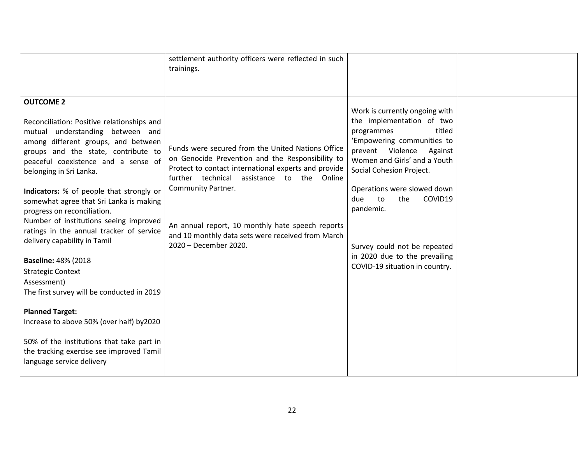|                                                                                                                                                                                                                                                                                                                                                                                                                                                                                                                                                                                                                                                                                                                                                                                                                   | settlement authority officers were reflected in such<br>trainings.                                                                                                                                                                                                                                                                                                  |                                                                                                                                                                                                                                                                                                                                                                                            |  |
|-------------------------------------------------------------------------------------------------------------------------------------------------------------------------------------------------------------------------------------------------------------------------------------------------------------------------------------------------------------------------------------------------------------------------------------------------------------------------------------------------------------------------------------------------------------------------------------------------------------------------------------------------------------------------------------------------------------------------------------------------------------------------------------------------------------------|---------------------------------------------------------------------------------------------------------------------------------------------------------------------------------------------------------------------------------------------------------------------------------------------------------------------------------------------------------------------|--------------------------------------------------------------------------------------------------------------------------------------------------------------------------------------------------------------------------------------------------------------------------------------------------------------------------------------------------------------------------------------------|--|
| <b>OUTCOME 2</b><br>Reconciliation: Positive relationships and<br>mutual understanding between and<br>among different groups, and between<br>groups and the state, contribute to<br>peaceful coexistence and a sense of<br>belonging in Sri Lanka.<br>Indicators: % of people that strongly or<br>somewhat agree that Sri Lanka is making<br>progress on reconciliation.<br>Number of institutions seeing improved<br>ratings in the annual tracker of service<br>delivery capability in Tamil<br><b>Baseline: 48% (2018</b><br><b>Strategic Context</b><br>Assessment)<br>The first survey will be conducted in 2019<br><b>Planned Target:</b><br>Increase to above 50% (over half) by2020<br>50% of the institutions that take part in<br>the tracking exercise see improved Tamil<br>language service delivery | Funds were secured from the United Nations Office<br>on Genocide Prevention and the Responsibility to<br>Protect to contact international experts and provide<br>further technical assistance to the Online<br>Community Partner.<br>An annual report, 10 monthly hate speech reports<br>and 10 monthly data sets were received from March<br>2020 - December 2020. | Work is currently ongoing with<br>the implementation of two<br>titled<br>programmes<br>'Empowering communities to<br>prevent Violence<br>Against<br>Women and Girls' and a Youth<br>Social Cohesion Project.<br>Operations were slowed down<br>the<br>COVID19<br>due<br>to<br>pandemic.<br>Survey could not be repeated<br>in 2020 due to the prevailing<br>COVID-19 situation in country. |  |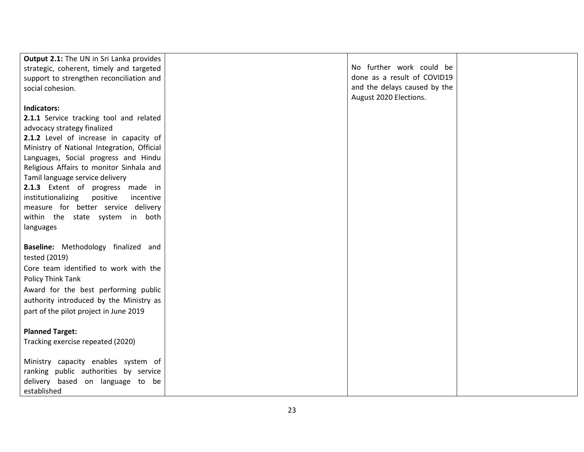| Output 2.1: The UN in Sri Lanka provides    |                              |  |
|---------------------------------------------|------------------------------|--|
| strategic, coherent, timely and targeted    | No further work could be     |  |
| support to strengthen reconciliation and    | done as a result of COVID19  |  |
| social cohesion.                            | and the delays caused by the |  |
|                                             | August 2020 Elections.       |  |
| Indicators:                                 |                              |  |
| 2.1.1 Service tracking tool and related     |                              |  |
| advocacy strategy finalized                 |                              |  |
| 2.1.2 Level of increase in capacity of      |                              |  |
| Ministry of National Integration, Official  |                              |  |
| Languages, Social progress and Hindu        |                              |  |
| Religious Affairs to monitor Sinhala and    |                              |  |
| Tamil language service delivery             |                              |  |
| 2.1.3 Extent of progress made in            |                              |  |
| institutionalizing<br>positive<br>incentive |                              |  |
| measure for better service delivery         |                              |  |
| within the state system in both             |                              |  |
| languages                                   |                              |  |
|                                             |                              |  |
| Baseline: Methodology finalized and         |                              |  |
| tested (2019)                               |                              |  |
| Core team identified to work with the       |                              |  |
| Policy Think Tank                           |                              |  |
|                                             |                              |  |
| Award for the best performing public        |                              |  |
| authority introduced by the Ministry as     |                              |  |
| part of the pilot project in June 2019      |                              |  |
|                                             |                              |  |
| <b>Planned Target:</b>                      |                              |  |
| Tracking exercise repeated (2020)           |                              |  |
|                                             |                              |  |
| Ministry capacity enables system of         |                              |  |
| ranking public authorities by service       |                              |  |
| delivery based on language to be            |                              |  |
| established                                 |                              |  |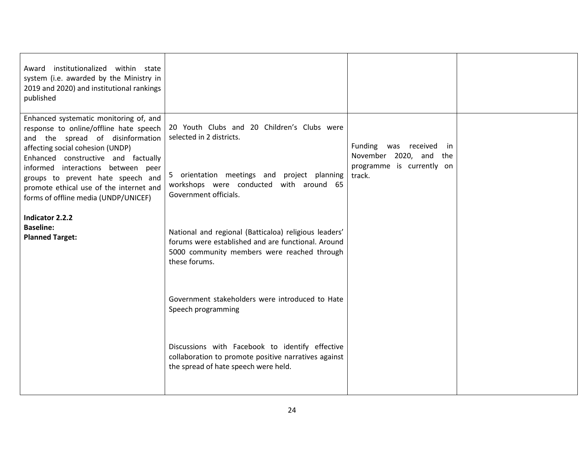| Award institutionalized within state<br>system (i.e. awarded by the Ministry in<br>2019 and 2020) and institutional rankings<br>published                                                                                                                                                                                                                     |                                                                                                                                                                                            |                                                                                                   |  |
|---------------------------------------------------------------------------------------------------------------------------------------------------------------------------------------------------------------------------------------------------------------------------------------------------------------------------------------------------------------|--------------------------------------------------------------------------------------------------------------------------------------------------------------------------------------------|---------------------------------------------------------------------------------------------------|--|
| Enhanced systematic monitoring of, and<br>response to online/offline hate speech<br>and the spread of disinformation<br>affecting social cohesion (UNDP)<br>Enhanced constructive and factually<br>informed interactions between peer<br>groups to prevent hate speech and<br>promote ethical use of the internet and<br>forms of offline media (UNDP/UNICEF) | 20 Youth Clubs and 20 Children's Clubs were<br>selected in 2 districts.<br>5 orientation meetings and project planning<br>workshops were conducted with around 65<br>Government officials. | Funding<br>was received<br>in<br>November 2020, and<br>the<br>programme is currently on<br>track. |  |
| Indicator 2.2.2<br><b>Baseline:</b><br><b>Planned Target:</b>                                                                                                                                                                                                                                                                                                 | National and regional (Batticaloa) religious leaders'<br>forums were established and are functional. Around<br>5000 community members were reached through<br>these forums.                |                                                                                                   |  |
|                                                                                                                                                                                                                                                                                                                                                               | Government stakeholders were introduced to Hate<br>Speech programming                                                                                                                      |                                                                                                   |  |
|                                                                                                                                                                                                                                                                                                                                                               | Discussions with Facebook to identify effective<br>collaboration to promote positive narratives against<br>the spread of hate speech were held.                                            |                                                                                                   |  |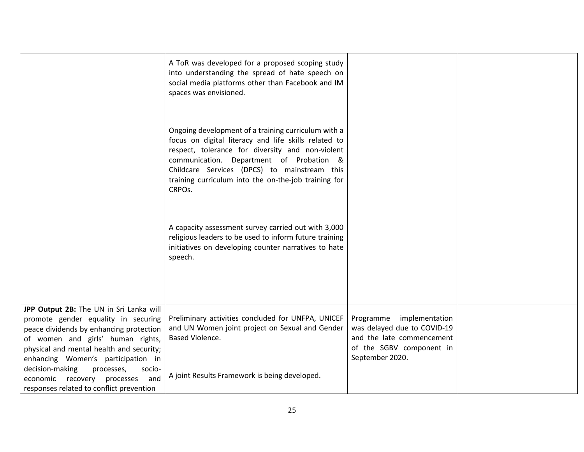|                                                                                                                                                                                                            | A ToR was developed for a proposed scoping study<br>into understanding the spread of hate speech on<br>social media platforms other than Facebook and IM<br>spaces was envisioned.                                                                                                                                            |                                                                                                                  |  |
|------------------------------------------------------------------------------------------------------------------------------------------------------------------------------------------------------------|-------------------------------------------------------------------------------------------------------------------------------------------------------------------------------------------------------------------------------------------------------------------------------------------------------------------------------|------------------------------------------------------------------------------------------------------------------|--|
|                                                                                                                                                                                                            | Ongoing development of a training curriculum with a<br>focus on digital literacy and life skills related to<br>respect, tolerance for diversity and non-violent<br>communication. Department of Probation &<br>Childcare Services (DPCS) to mainstream this<br>training curriculum into the on-the-job training for<br>CRPOs. |                                                                                                                  |  |
|                                                                                                                                                                                                            | A capacity assessment survey carried out with 3,000<br>religious leaders to be used to inform future training<br>initiatives on developing counter narratives to hate<br>speech.                                                                                                                                              |                                                                                                                  |  |
| JPP Output 2B: The UN in Sri Lanka will<br>promote gender equality in securing<br>peace dividends by enhancing protection<br>of women and girls' human rights,<br>physical and mental health and security; | Preliminary activities concluded for UNFPA, UNICEF<br>and UN Women joint project on Sexual and Gender<br>Based Violence.                                                                                                                                                                                                      | Programme implementation<br>was delayed due to COVID-19<br>and the late commencement<br>of the SGBV component in |  |
| enhancing Women's participation in<br>decision-making<br>processes,<br>socio-<br>and<br>economic<br>recovery processes<br>responses related to conflict prevention                                         | A joint Results Framework is being developed.                                                                                                                                                                                                                                                                                 | September 2020.                                                                                                  |  |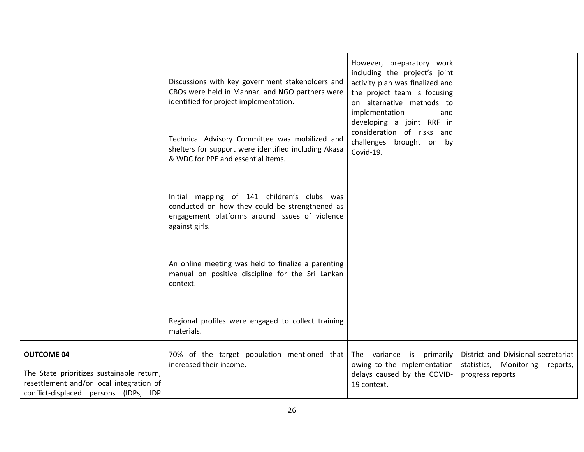|                                                                                                                                                     | Discussions with key government stakeholders and<br>CBOs were held in Mannar, and NGO partners were<br>identified for project implementation.                     | However, preparatory work<br>including the project's joint<br>activity plan was finalized and<br>the project team is focusing<br>on alternative methods to<br>implementation<br>and<br>developing a joint RRF in |                                                                                            |
|-----------------------------------------------------------------------------------------------------------------------------------------------------|-------------------------------------------------------------------------------------------------------------------------------------------------------------------|------------------------------------------------------------------------------------------------------------------------------------------------------------------------------------------------------------------|--------------------------------------------------------------------------------------------|
|                                                                                                                                                     | Technical Advisory Committee was mobilized and<br>shelters for support were identified including Akasa<br>& WDC for PPE and essential items.                      | consideration of risks and<br>challenges brought on by<br>Covid-19.                                                                                                                                              |                                                                                            |
|                                                                                                                                                     | Initial mapping of 141 children's clubs was<br>conducted on how they could be strengthened as<br>engagement platforms around issues of violence<br>against girls. |                                                                                                                                                                                                                  |                                                                                            |
|                                                                                                                                                     | An online meeting was held to finalize a parenting<br>manual on positive discipline for the Sri Lankan<br>context.                                                |                                                                                                                                                                                                                  |                                                                                            |
|                                                                                                                                                     | Regional profiles were engaged to collect training<br>materials.                                                                                                  |                                                                                                                                                                                                                  |                                                                                            |
| <b>OUTCOME 04</b><br>The State prioritizes sustainable return,<br>resettlement and/or local integration of<br>conflict-displaced persons (IDPs, IDP | 70% of the target population mentioned that<br>increased their income.                                                                                            | The variance is primarily<br>owing to the implementation<br>delays caused by the COVID-<br>19 context.                                                                                                           | District and Divisional secretariat<br>statistics, Monitoring reports,<br>progress reports |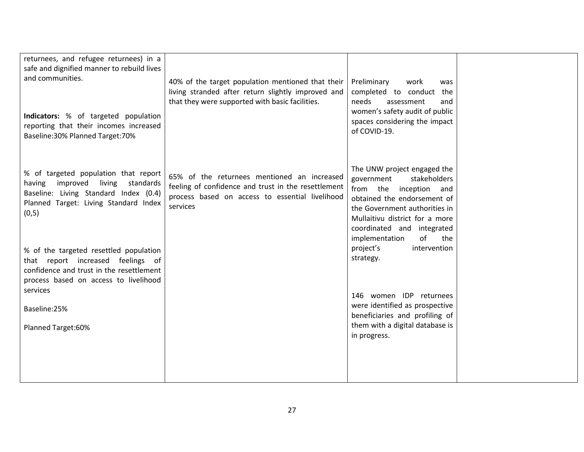| returnees, and refugee returnees) in a<br>safe and dignified manner to rebuild lives<br>and communities.<br>Indicators: % of targeted population<br>reporting that their incomes increased<br>Baseline: 30% Planned Target: 70% | 40% of the target population mentioned that their<br>living stranded after return slightly improved and<br>that they were supported with basic facilities.        | Preliminary<br>work<br>was<br>completed to conduct the<br>needs<br>assessment<br>and<br>women's safety audit of public<br>spaces considering the impact<br>of COVID-19.                                                                            |  |
|---------------------------------------------------------------------------------------------------------------------------------------------------------------------------------------------------------------------------------|-------------------------------------------------------------------------------------------------------------------------------------------------------------------|----------------------------------------------------------------------------------------------------------------------------------------------------------------------------------------------------------------------------------------------------|--|
| % of targeted population that report<br>having improved living<br>standards<br>Baseline: Living Standard Index (0.4)<br>Planned Target: Living Standard Index<br>(0, 5)                                                         | 65% of the returnees mentioned an increased<br>feeling of confidence and trust in the resettlement<br>process based on access to essential livelihood<br>services | The UNW project engaged the<br>government<br>stakeholders<br>from the inception and<br>obtained the endorsement of<br>the Government authorities in<br>Mullaitivu district for a more<br>coordinated and integrated<br>of<br>implementation<br>the |  |
| % of the targeted resettled population<br>that report increased feelings of<br>confidence and trust in the resettlement<br>process based on access to livelihood                                                                |                                                                                                                                                                   | project's<br>intervention<br>strategy.                                                                                                                                                                                                             |  |
| services<br>Baseline:25%                                                                                                                                                                                                        |                                                                                                                                                                   | 146 women IDP returnees<br>were identified as prospective<br>beneficiaries and profiling of                                                                                                                                                        |  |
| Planned Target:60%                                                                                                                                                                                                              |                                                                                                                                                                   | them with a digital database is<br>in progress.                                                                                                                                                                                                    |  |
|                                                                                                                                                                                                                                 |                                                                                                                                                                   |                                                                                                                                                                                                                                                    |  |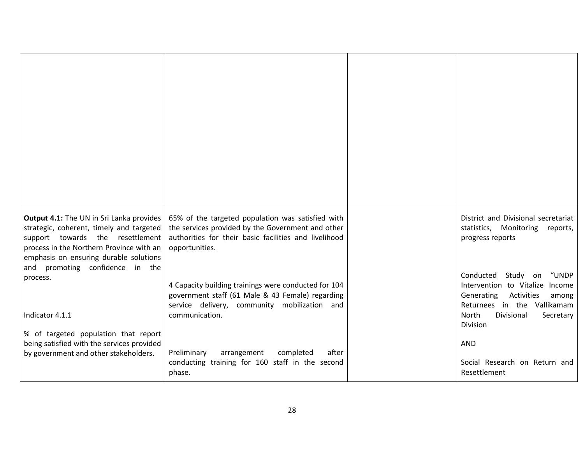| Output 4.1: The UN in Sri Lanka provides<br>strategic, coherent, timely and targeted<br>support towards the resettlement<br>process in the Northern Province with an<br>emphasis on ensuring durable solutions<br>and promoting confidence in the | 65% of the targeted population was satisfied with<br>the services provided by the Government and other<br>authorities for their basic facilities and livelihood<br>opportunities. | District and Divisional secretariat<br>statistics, Monitoring<br>reports,<br>progress reports                                                                          |
|---------------------------------------------------------------------------------------------------------------------------------------------------------------------------------------------------------------------------------------------------|-----------------------------------------------------------------------------------------------------------------------------------------------------------------------------------|------------------------------------------------------------------------------------------------------------------------------------------------------------------------|
| process.<br>Indicator 4.1.1                                                                                                                                                                                                                       | 4 Capacity building trainings were conducted for 104<br>government staff (61 Male & 43 Female) regarding<br>service delivery, community mobilization and<br>communication.        | Conducted Study on<br>"UNDP<br>Intervention to Vitalize Income<br>Generating<br>Activities<br>among<br>Returnees in the Vallikamam<br>North<br>Divisional<br>Secretary |
| % of targeted population that report<br>being satisfied with the services provided<br>by government and other stakeholders.                                                                                                                       | after<br>Preliminary<br>arrangement<br>completed<br>conducting training for 160 staff in the second<br>phase.                                                                     | Division<br><b>AND</b><br>Social Research on Return and<br>Resettlement                                                                                                |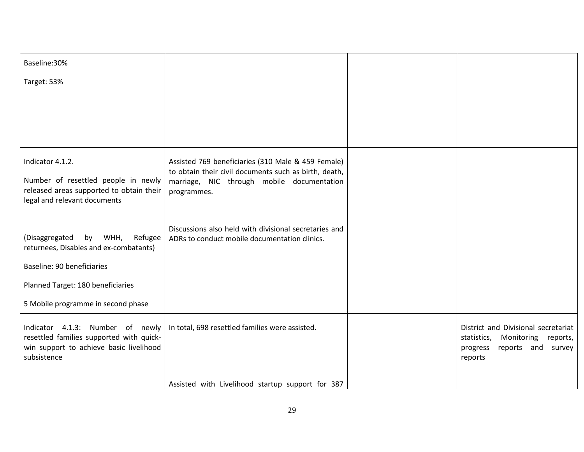| Baseline: 30%                                                                                                                          |                                                                                                        |                                                                                                                           |
|----------------------------------------------------------------------------------------------------------------------------------------|--------------------------------------------------------------------------------------------------------|---------------------------------------------------------------------------------------------------------------------------|
| Target: 53%                                                                                                                            |                                                                                                        |                                                                                                                           |
|                                                                                                                                        |                                                                                                        |                                                                                                                           |
|                                                                                                                                        |                                                                                                        |                                                                                                                           |
|                                                                                                                                        |                                                                                                        |                                                                                                                           |
| Indicator 4.1.2.                                                                                                                       | Assisted 769 beneficiaries (310 Male & 459 Female)                                                     |                                                                                                                           |
| Number of resettled people in newly                                                                                                    | to obtain their civil documents such as birth, death,<br>marriage, NIC through mobile documentation    |                                                                                                                           |
| released areas supported to obtain their<br>legal and relevant documents                                                               | programmes.                                                                                            |                                                                                                                           |
|                                                                                                                                        |                                                                                                        |                                                                                                                           |
| (Disaggregated<br>by WHH,<br>Refugee<br>returnees, Disables and ex-combatants)                                                         | Discussions also held with divisional secretaries and<br>ADRs to conduct mobile documentation clinics. |                                                                                                                           |
| Baseline: 90 beneficiaries                                                                                                             |                                                                                                        |                                                                                                                           |
| Planned Target: 180 beneficiaries                                                                                                      |                                                                                                        |                                                                                                                           |
| 5 Mobile programme in second phase                                                                                                     |                                                                                                        |                                                                                                                           |
| Indicator 4.1.3: Number of newly<br>resettled families supported with quick-<br>win support to achieve basic livelihood<br>subsistence | In total, 698 resettled families were assisted.                                                        | District and Divisional secretariat<br>statistics,<br>Monitoring<br>reports,<br>reports and survey<br>progress<br>reports |
|                                                                                                                                        | Assisted with Livelihood startup support for 387                                                       |                                                                                                                           |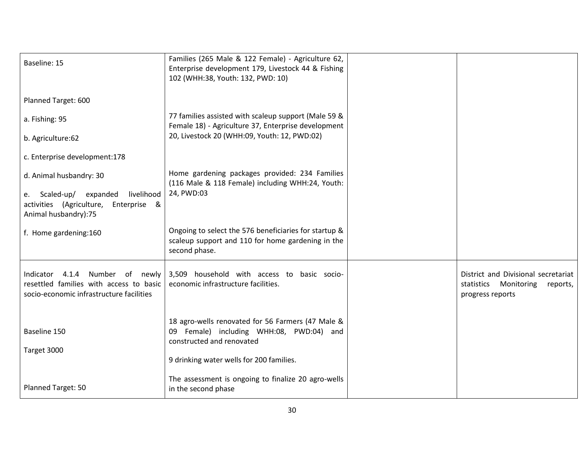| Baseline: 15                                                                                                              | Families (265 Male & 122 Female) - Agriculture 62,<br>Enterprise development 179, Livestock 44 & Fishing<br>102 (WHH:38, Youth: 132, PWD: 10)                          |                                                                                                 |
|---------------------------------------------------------------------------------------------------------------------------|------------------------------------------------------------------------------------------------------------------------------------------------------------------------|-------------------------------------------------------------------------------------------------|
| Planned Target: 600                                                                                                       |                                                                                                                                                                        |                                                                                                 |
| a. Fishing: 95                                                                                                            | 77 families assisted with scaleup support (Male 59 &<br>Female 18) - Agriculture 37, Enterprise development                                                            |                                                                                                 |
| b. Agriculture:62                                                                                                         | 20, Livestock 20 (WHH:09, Youth: 12, PWD:02)                                                                                                                           |                                                                                                 |
| c. Enterprise development:178                                                                                             |                                                                                                                                                                        |                                                                                                 |
| d. Animal husbandry: 30                                                                                                   | Home gardening packages provided: 234 Families<br>(116 Male & 118 Female) including WHH:24, Youth:                                                                     |                                                                                                 |
| livelihood<br>e. Scaled-up/ expanded<br>activities (Agriculture,<br>Enterprise &<br>Animal husbandry):75                  | 24, PWD:03                                                                                                                                                             |                                                                                                 |
| f. Home gardening:160                                                                                                     | Ongoing to select the 576 beneficiaries for startup &<br>scaleup support and 110 for home gardening in the<br>second phase.                                            |                                                                                                 |
| Indicator 4.1.4<br>Number of newly<br>resettled families with access to basic<br>socio-economic infrastructure facilities | 3,509 household with access to basic socio-<br>economic infrastructure facilities.                                                                                     | District and Divisional secretariat<br>statistics<br>Monitoring<br>reports,<br>progress reports |
| Baseline 150<br>Target 3000                                                                                               | 18 agro-wells renovated for 56 Farmers (47 Male &<br>09 Female) including WHH:08, PWD:04) and<br>constructed and renovated<br>9 drinking water wells for 200 families. |                                                                                                 |
| Planned Target: 50                                                                                                        | The assessment is ongoing to finalize 20 agro-wells<br>in the second phase                                                                                             |                                                                                                 |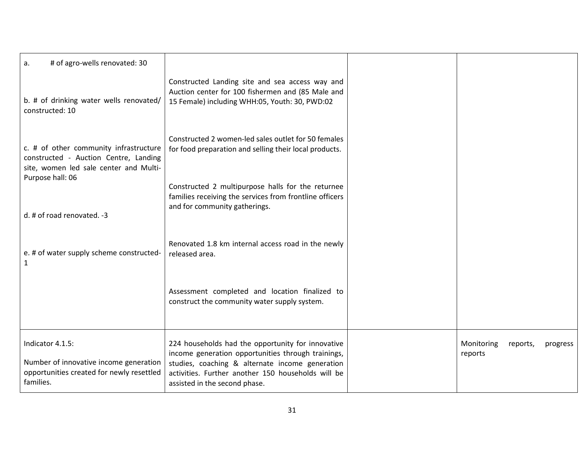| # of agro-wells renovated: 30<br>a.                                                                                                           |                                                                                                                                                                                                                                                   |                                               |
|-----------------------------------------------------------------------------------------------------------------------------------------------|---------------------------------------------------------------------------------------------------------------------------------------------------------------------------------------------------------------------------------------------------|-----------------------------------------------|
| b. # of drinking water wells renovated/<br>constructed: 10                                                                                    | Constructed Landing site and sea access way and<br>Auction center for 100 fishermen and (85 Male and<br>15 Female) including WHH:05, Youth: 30, PWD:02                                                                                            |                                               |
| c. # of other community infrastructure<br>constructed - Auction Centre, Landing<br>site, women led sale center and Multi-<br>Purpose hall: 06 | Constructed 2 women-led sales outlet for 50 females<br>for food preparation and selling their local products.                                                                                                                                     |                                               |
| d. # of road renovated. -3                                                                                                                    | Constructed 2 multipurpose halls for the returnee<br>families receiving the services from frontline officers<br>and for community gatherings.                                                                                                     |                                               |
| e. # of water supply scheme constructed-<br>1                                                                                                 | Renovated 1.8 km internal access road in the newly<br>released area.                                                                                                                                                                              |                                               |
|                                                                                                                                               | Assessment completed and location finalized to<br>construct the community water supply system.                                                                                                                                                    |                                               |
| Indicator 4.1.5:<br>Number of innovative income generation<br>opportunities created for newly resettled<br>families.                          | 224 households had the opportunity for innovative<br>income generation opportunities through trainings,<br>studies, coaching & alternate income generation<br>activities. Further another 150 households will be<br>assisted in the second phase. | Monitoring<br>reports,<br>progress<br>reports |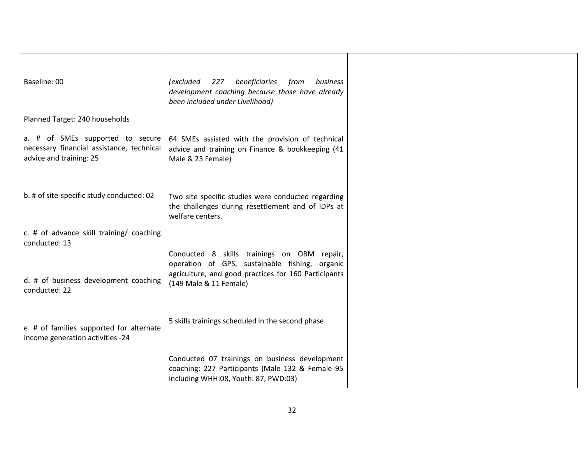| Baseline: 00                                                                                             | 227 beneficiaries<br><i>(excluded</i><br>from<br>business<br>development coaching because those have already<br>been included under Livelihood)                                 |  |
|----------------------------------------------------------------------------------------------------------|---------------------------------------------------------------------------------------------------------------------------------------------------------------------------------|--|
| Planned Target: 240 households                                                                           |                                                                                                                                                                                 |  |
| a. # of SMEs supported to secure<br>necessary financial assistance, technical<br>advice and training: 25 | 64 SMEs assisted with the provision of technical<br>advice and training on Finance & bookkeeping (41<br>Male & 23 Female)                                                       |  |
| b. # of site-specific study conducted: 02                                                                | Two site specific studies were conducted regarding<br>the challenges during resettlement and of IDPs at<br>welfare centers.                                                     |  |
| c. # of advance skill training/ coaching<br>conducted: 13                                                |                                                                                                                                                                                 |  |
| d. # of business development coaching<br>conducted: 22                                                   | Conducted 8 skills trainings on OBM repair,<br>operation of GPS, sustainable fishing, organic<br>agriculture, and good practices for 160 Participants<br>(149 Male & 11 Female) |  |
| e. # of families supported for alternate<br>income generation activities -24                             | 5 skills trainings scheduled in the second phase                                                                                                                                |  |
|                                                                                                          | Conducted 07 trainings on business development<br>coaching: 227 Participants (Male 132 & Female 95<br>including WHH:08, Youth: 87, PWD:03)                                      |  |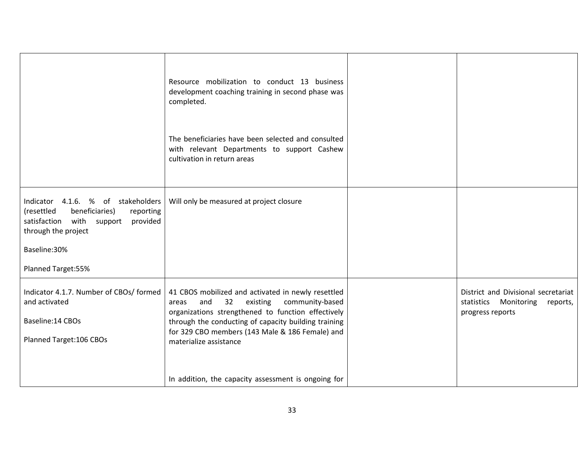|                                                                                                                                                                  | Resource mobilization to conduct 13 business<br>development coaching training in second phase was<br>completed.                                                                                                                                                                                    |                                                                                              |
|------------------------------------------------------------------------------------------------------------------------------------------------------------------|----------------------------------------------------------------------------------------------------------------------------------------------------------------------------------------------------------------------------------------------------------------------------------------------------|----------------------------------------------------------------------------------------------|
|                                                                                                                                                                  | The beneficiaries have been selected and consulted<br>with relevant Departments to support Cashew<br>cultivation in return areas                                                                                                                                                                   |                                                                                              |
| Indicator 4.1.6. % of stakeholders<br>beneficiaries)<br>(resettled<br>reporting<br>satisfaction with support<br>provided<br>through the project<br>Baseline: 30% | Will only be measured at project closure                                                                                                                                                                                                                                                           |                                                                                              |
| Planned Target:55%                                                                                                                                               |                                                                                                                                                                                                                                                                                                    |                                                                                              |
| Indicator 4.1.7. Number of CBOs/ formed<br>and activated<br>Baseline: 14 CBOs<br>Planned Target: 106 CBOs                                                        | 41 CBOS mobilized and activated in newly resettled<br>32<br>existing<br>community-based<br>and<br>areas<br>organizations strengthened to function effectively<br>through the conducting of capacity building training<br>for 329 CBO members (143 Male & 186 Female) and<br>materialize assistance | District and Divisional secretariat<br>statistics Monitoring<br>reports,<br>progress reports |
|                                                                                                                                                                  | In addition, the capacity assessment is ongoing for                                                                                                                                                                                                                                                |                                                                                              |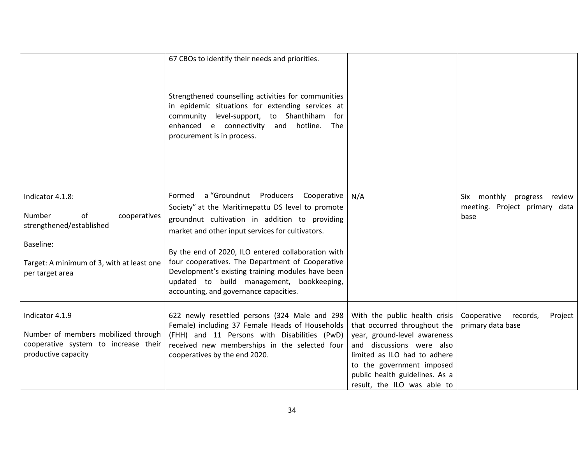|                                                                                                                       | 67 CBOs to identify their needs and priorities.<br>Strengthened counselling activities for communities<br>in epidemic situations for extending services at<br>community level-support, to Shanthiham for                           |                                                                                                                                                                                                                                                          |                                                      |
|-----------------------------------------------------------------------------------------------------------------------|------------------------------------------------------------------------------------------------------------------------------------------------------------------------------------------------------------------------------------|----------------------------------------------------------------------------------------------------------------------------------------------------------------------------------------------------------------------------------------------------------|------------------------------------------------------|
|                                                                                                                       | enhanced e connectivity and hotline.<br>The<br>procurement is in process.                                                                                                                                                          |                                                                                                                                                                                                                                                          |                                                      |
| Indicator 4.1.8:                                                                                                      | Formed a "Groundnut Producers Cooperative                                                                                                                                                                                          | N/A                                                                                                                                                                                                                                                      | Six monthly progress review                          |
| <b>Number</b><br>of<br>cooperatives<br>strengthened/established                                                       | Society" at the Maritimepattu DS level to promote<br>groundnut cultivation in addition to providing<br>market and other input services for cultivators.                                                                            |                                                                                                                                                                                                                                                          | meeting. Project primary data<br>base                |
| Baseline:                                                                                                             | By the end of 2020, ILO entered collaboration with                                                                                                                                                                                 |                                                                                                                                                                                                                                                          |                                                      |
| Target: A minimum of 3, with at least one<br>per target area                                                          | four cooperatives. The Department of Cooperative<br>Development's existing training modules have been<br>updated to build management, bookkeeping,<br>accounting, and governance capacities.                                       |                                                                                                                                                                                                                                                          |                                                      |
| Indicator 4.1.9<br>Number of members mobilized through<br>cooperative system to increase their<br>productive capacity | 622 newly resettled persons (324 Male and 298<br>Female) including 37 Female Heads of Households<br>(FHH) and 11 Persons with Disabilities (PwD)<br>received new memberships in the selected four<br>cooperatives by the end 2020. | With the public health crisis<br>that occurred throughout the<br>year, ground-level awareness<br>and discussions were also<br>limited as ILO had to adhere<br>to the government imposed<br>public health guidelines. As a<br>result, the ILO was able to | Cooperative records,<br>Project<br>primary data base |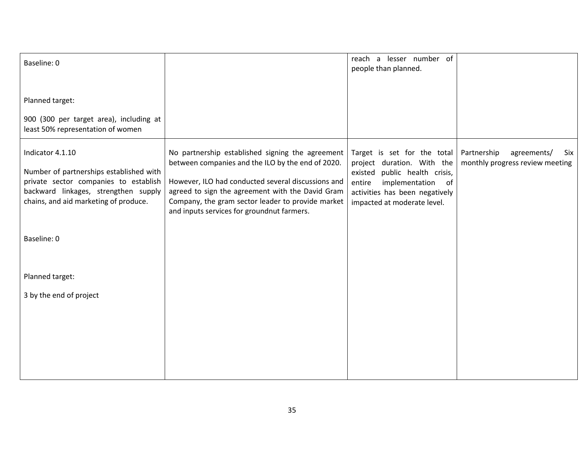| Baseline: 0                                                                                                                                                                           |                                                                                                                                                                                                                                                                                                                    | lesser number of<br>reach a<br>people than planned.                                                                                                                                           |                                                                      |
|---------------------------------------------------------------------------------------------------------------------------------------------------------------------------------------|--------------------------------------------------------------------------------------------------------------------------------------------------------------------------------------------------------------------------------------------------------------------------------------------------------------------|-----------------------------------------------------------------------------------------------------------------------------------------------------------------------------------------------|----------------------------------------------------------------------|
| Planned target:                                                                                                                                                                       |                                                                                                                                                                                                                                                                                                                    |                                                                                                                                                                                               |                                                                      |
| 900 (300 per target area), including at<br>least 50% representation of women                                                                                                          |                                                                                                                                                                                                                                                                                                                    |                                                                                                                                                                                               |                                                                      |
| Indicator 4.1.10<br>Number of partnerships established with<br>private sector companies to establish<br>backward linkages, strengthen supply<br>chains, and aid marketing of produce. | No partnership established signing the agreement<br>between companies and the ILO by the end of 2020.<br>However, ILO had conducted several discussions and<br>agreed to sign the agreement with the David Gram<br>Company, the gram sector leader to provide market<br>and inputs services for groundnut farmers. | Target is set for the total<br>project duration. With the<br>public health crisis,<br>existed<br>implementation of<br>entire<br>activities has been negatively<br>impacted at moderate level. | Partnership<br>agreements/<br>Six<br>monthly progress review meeting |
| Baseline: 0                                                                                                                                                                           |                                                                                                                                                                                                                                                                                                                    |                                                                                                                                                                                               |                                                                      |
| Planned target:                                                                                                                                                                       |                                                                                                                                                                                                                                                                                                                    |                                                                                                                                                                                               |                                                                      |
| 3 by the end of project                                                                                                                                                               |                                                                                                                                                                                                                                                                                                                    |                                                                                                                                                                                               |                                                                      |
|                                                                                                                                                                                       |                                                                                                                                                                                                                                                                                                                    |                                                                                                                                                                                               |                                                                      |
|                                                                                                                                                                                       |                                                                                                                                                                                                                                                                                                                    |                                                                                                                                                                                               |                                                                      |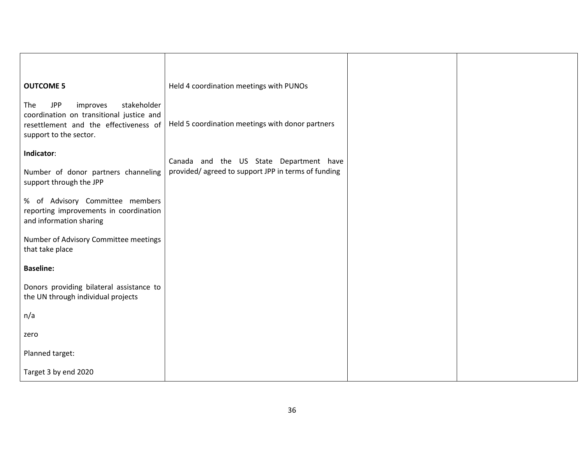| <b>OUTCOME 5</b>                                                                                                                                            | Held 4 coordination meetings with PUNOs            |  |
|-------------------------------------------------------------------------------------------------------------------------------------------------------------|----------------------------------------------------|--|
| stakeholder<br><b>JPP</b><br>improves<br>The<br>coordination on transitional justice and<br>resettlement and the effectiveness of<br>support to the sector. | Held 5 coordination meetings with donor partners   |  |
| Indicator:                                                                                                                                                  | Canada and the US State Department have            |  |
| Number of donor partners channeling<br>support through the JPP                                                                                              | provided/agreed to support JPP in terms of funding |  |
| % of Advisory Committee members<br>reporting improvements in coordination<br>and information sharing                                                        |                                                    |  |
| Number of Advisory Committee meetings<br>that take place                                                                                                    |                                                    |  |
| <b>Baseline:</b>                                                                                                                                            |                                                    |  |
| Donors providing bilateral assistance to<br>the UN through individual projects                                                                              |                                                    |  |
| n/a                                                                                                                                                         |                                                    |  |
| zero                                                                                                                                                        |                                                    |  |
| Planned target:                                                                                                                                             |                                                    |  |
| Target 3 by end 2020                                                                                                                                        |                                                    |  |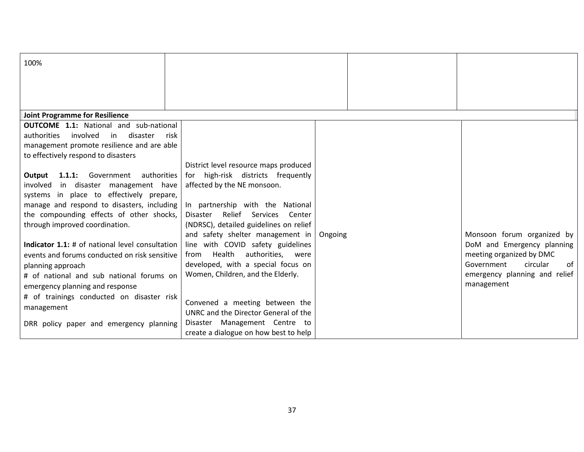| 100%                                                                       |                                                                                    |         |                               |
|----------------------------------------------------------------------------|------------------------------------------------------------------------------------|---------|-------------------------------|
|                                                                            |                                                                                    |         |                               |
|                                                                            |                                                                                    |         |                               |
| <b>Joint Programme for Resilience</b>                                      |                                                                                    |         |                               |
| <b>OUTCOME 1.1:</b> National and sub-national                              |                                                                                    |         |                               |
| involved<br>disaster<br>authorities<br>in<br>risk                          |                                                                                    |         |                               |
| management promote resilience and are able                                 |                                                                                    |         |                               |
| to effectively respond to disasters                                        |                                                                                    |         |                               |
|                                                                            | District level resource maps produced                                              |         |                               |
| 1.1.1: Government<br>authorities<br>Output                                 | for high-risk districts frequently                                                 |         |                               |
| involved in disaster management have                                       | affected by the NE monsoon.                                                        |         |                               |
| systems in place to effectively prepare,                                   |                                                                                    |         |                               |
| manage and respond to disasters, including                                 | In partnership with the National                                                   |         |                               |
| the compounding effects of other shocks,<br>through improved coordination. | Relief<br>Services<br>Disaster<br>Center<br>(NDRSC), detailed guidelines on relief |         |                               |
|                                                                            | and safety shelter management in                                                   | Ongoing | Monsoon forum organized by    |
| Indicator 1.1: # of national level consultation                            | line with COVID safety guidelines                                                  |         | DoM and Emergency planning    |
| events and forums conducted on risk sensitive                              | from Health<br>authorities,<br>were                                                |         | meeting organized by DMC      |
| planning approach                                                          | developed, with a special focus on                                                 |         | Government<br>circular<br>0f  |
| # of national and sub national forums on                                   | Women, Children, and the Elderly.                                                  |         | emergency planning and relief |
| emergency planning and response                                            |                                                                                    |         | management                    |
| # of trainings conducted on disaster risk                                  |                                                                                    |         |                               |
| management                                                                 | Convened a meeting between the                                                     |         |                               |
|                                                                            | UNRC and the Director General of the                                               |         |                               |
| DRR policy paper and emergency planning                                    | Disaster Management Centre to                                                      |         |                               |
|                                                                            | create a dialogue on how best to help                                              |         |                               |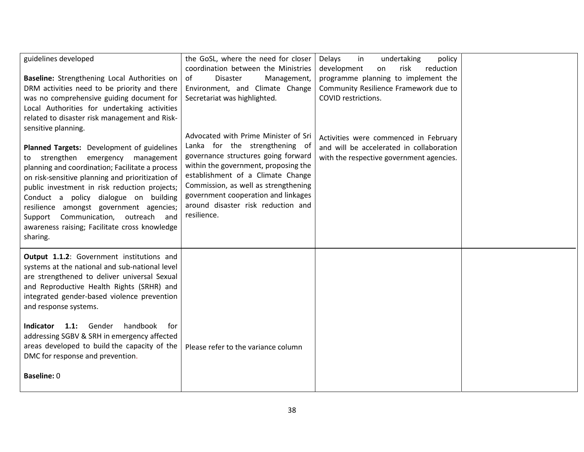| guidelines developed<br>Baseline: Strengthening Local Authorities on<br>DRM activities need to be priority and there<br>was no comprehensive guiding document for<br>Local Authorities for undertaking activities<br>related to disaster risk management and Risk-                                                                                                                                                                                            | the GoSL, where the need for closer<br>coordination between the Ministries<br>of<br><b>Disaster</b><br>Management,<br>Environment, and Climate Change<br>Secretariat was highlighted.                                                                                                                                          | Delays<br>in<br>undertaking<br>policy<br>development<br>risk<br>reduction<br>on<br>programme planning to implement the<br>Community Resilience Framework due to<br>COVID restrictions. |  |
|---------------------------------------------------------------------------------------------------------------------------------------------------------------------------------------------------------------------------------------------------------------------------------------------------------------------------------------------------------------------------------------------------------------------------------------------------------------|--------------------------------------------------------------------------------------------------------------------------------------------------------------------------------------------------------------------------------------------------------------------------------------------------------------------------------|----------------------------------------------------------------------------------------------------------------------------------------------------------------------------------------|--|
| sensitive planning.<br>Planned Targets: Development of guidelines<br>strengthen emergency management<br>to<br>planning and coordination; Facilitate a process<br>on risk-sensitive planning and prioritization of<br>public investment in risk reduction projects;<br>Conduct a policy dialogue on building<br>resilience amongst government agencies;<br>Support Communication,<br>outreach and<br>awareness raising; Facilitate cross knowledge<br>sharing. | Advocated with Prime Minister of Sri<br>Lanka for the strengthening of<br>governance structures going forward<br>within the government, proposing the<br>establishment of a Climate Change<br>Commission, as well as strengthening<br>government cooperation and linkages<br>around disaster risk reduction and<br>resilience. | Activities were commenced in February<br>and will be accelerated in collaboration<br>with the respective government agencies.                                                          |  |
| Output 1.1.2: Government institutions and<br>systems at the national and sub-national level<br>are strengthened to deliver universal Sexual<br>and Reproductive Health Rights (SRHR) and<br>integrated gender-based violence prevention<br>and response systems.<br>1.1: Gender<br>handbook<br><b>Indicator</b><br>for<br>addressing SGBV & SRH in emergency affected<br>areas developed to build the capacity of the                                         | Please refer to the variance column                                                                                                                                                                                                                                                                                            |                                                                                                                                                                                        |  |
| DMC for response and prevention.<br><b>Baseline: 0</b>                                                                                                                                                                                                                                                                                                                                                                                                        |                                                                                                                                                                                                                                                                                                                                |                                                                                                                                                                                        |  |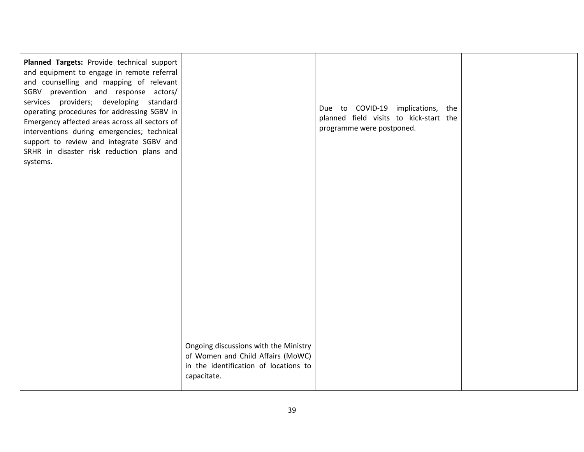| Planned Targets: Provide technical support<br>and equipment to engage in remote referral<br>and counselling and mapping of relevant<br>SGBV prevention and response actors/<br>services providers; developing standard<br>operating procedures for addressing SGBV in<br>Emergency affected areas across all sectors of<br>interventions during emergencies; technical<br>support to review and integrate SGBV and<br>SRHR in disaster risk reduction plans and<br>systems. |                                                                                                                                    | Due to COVID-19 implications, the<br>planned field visits to kick-start the<br>programme were postponed. |  |
|-----------------------------------------------------------------------------------------------------------------------------------------------------------------------------------------------------------------------------------------------------------------------------------------------------------------------------------------------------------------------------------------------------------------------------------------------------------------------------|------------------------------------------------------------------------------------------------------------------------------------|----------------------------------------------------------------------------------------------------------|--|
|                                                                                                                                                                                                                                                                                                                                                                                                                                                                             |                                                                                                                                    |                                                                                                          |  |
|                                                                                                                                                                                                                                                                                                                                                                                                                                                                             |                                                                                                                                    |                                                                                                          |  |
|                                                                                                                                                                                                                                                                                                                                                                                                                                                                             |                                                                                                                                    |                                                                                                          |  |
|                                                                                                                                                                                                                                                                                                                                                                                                                                                                             |                                                                                                                                    |                                                                                                          |  |
|                                                                                                                                                                                                                                                                                                                                                                                                                                                                             | Ongoing discussions with the Ministry<br>of Women and Child Affairs (MoWC)<br>in the identification of locations to<br>capacitate. |                                                                                                          |  |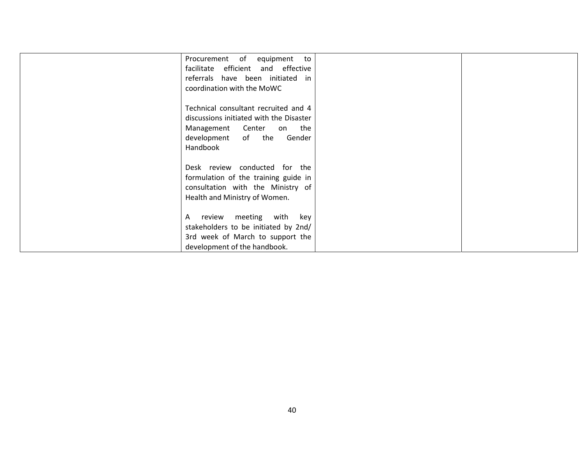| Procurement of equipment<br>to<br>facilitate efficient and effective<br>referrals have been initiated in<br>coordination with the MoWC                     |  |
|------------------------------------------------------------------------------------------------------------------------------------------------------------|--|
| Technical consultant recruited and 4<br>discussions initiated with the Disaster<br>Management Center<br>on the<br>development of the<br>Gender<br>Handbook |  |
| Desk review conducted for the<br>formulation of the training guide in<br>consultation with the Ministry of<br>Health and Ministry of Women.                |  |
| review meeting with key<br>A<br>stakeholders to be initiated by 2nd/<br>3rd week of March to support the<br>development of the handbook.                   |  |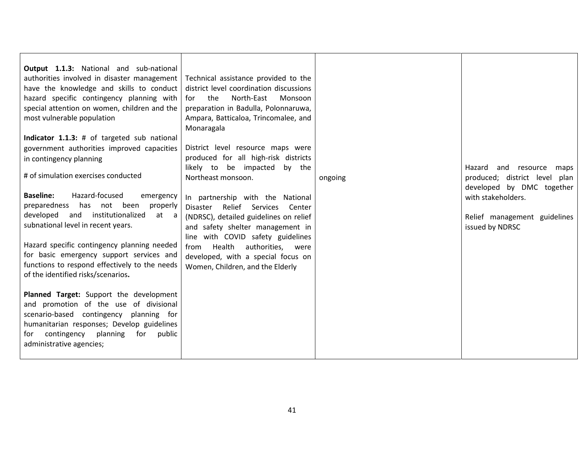| District level resource maps were<br>government authorities improved capacities<br>produced for all high-risk districts<br>in contingency planning<br>likely to be impacted<br>by the<br>Hazard and resource<br>maps<br># of simulation exercises conducted<br>Northeast monsoon.<br>produced; district level<br>ongoing<br>plan<br>developed by DMC together<br><b>Baseline:</b><br>Hazard-focused<br>emergency<br>with stakeholders.<br>In partnership with the National<br>preparedness has<br>not been<br>properly<br>Disaster Relief Services<br>Center<br>developed and institutionalized<br>at a<br>(NDRSC), detailed guidelines on relief<br>Relief management guidelines<br>subnational level in recent years.<br>issued by NDRSC<br>and safety shelter management in | Output 1.1.3: National and sub-national<br>authorities involved in disaster management<br>have the knowledge and skills to conduct<br>hazard specific contingency planning with<br>special attention on women, children and the<br>most vulnerable population<br>Indicator 1.1.3: # of targeted sub national | Technical assistance provided to the<br>district level coordination discussions<br>North-East<br>for the<br>Monsoon<br>preparation in Badulla, Polonnaruwa,<br>Ampara, Batticaloa, Trincomalee, and<br>Monaragala |  |
|--------------------------------------------------------------------------------------------------------------------------------------------------------------------------------------------------------------------------------------------------------------------------------------------------------------------------------------------------------------------------------------------------------------------------------------------------------------------------------------------------------------------------------------------------------------------------------------------------------------------------------------------------------------------------------------------------------------------------------------------------------------------------------|--------------------------------------------------------------------------------------------------------------------------------------------------------------------------------------------------------------------------------------------------------------------------------------------------------------|-------------------------------------------------------------------------------------------------------------------------------------------------------------------------------------------------------------------|--|
|                                                                                                                                                                                                                                                                                                                                                                                                                                                                                                                                                                                                                                                                                                                                                                                |                                                                                                                                                                                                                                                                                                              |                                                                                                                                                                                                                   |  |
|                                                                                                                                                                                                                                                                                                                                                                                                                                                                                                                                                                                                                                                                                                                                                                                |                                                                                                                                                                                                                                                                                                              |                                                                                                                                                                                                                   |  |
|                                                                                                                                                                                                                                                                                                                                                                                                                                                                                                                                                                                                                                                                                                                                                                                |                                                                                                                                                                                                                                                                                                              |                                                                                                                                                                                                                   |  |
|                                                                                                                                                                                                                                                                                                                                                                                                                                                                                                                                                                                                                                                                                                                                                                                |                                                                                                                                                                                                                                                                                                              |                                                                                                                                                                                                                   |  |
|                                                                                                                                                                                                                                                                                                                                                                                                                                                                                                                                                                                                                                                                                                                                                                                |                                                                                                                                                                                                                                                                                                              |                                                                                                                                                                                                                   |  |
|                                                                                                                                                                                                                                                                                                                                                                                                                                                                                                                                                                                                                                                                                                                                                                                |                                                                                                                                                                                                                                                                                                              |                                                                                                                                                                                                                   |  |
|                                                                                                                                                                                                                                                                                                                                                                                                                                                                                                                                                                                                                                                                                                                                                                                |                                                                                                                                                                                                                                                                                                              |                                                                                                                                                                                                                   |  |
|                                                                                                                                                                                                                                                                                                                                                                                                                                                                                                                                                                                                                                                                                                                                                                                |                                                                                                                                                                                                                                                                                                              |                                                                                                                                                                                                                   |  |
|                                                                                                                                                                                                                                                                                                                                                                                                                                                                                                                                                                                                                                                                                                                                                                                |                                                                                                                                                                                                                                                                                                              |                                                                                                                                                                                                                   |  |
| Hazard specific contingency planning needed                                                                                                                                                                                                                                                                                                                                                                                                                                                                                                                                                                                                                                                                                                                                    |                                                                                                                                                                                                                                                                                                              | line with COVID safety guidelines                                                                                                                                                                                 |  |
| Health<br>authorities, were<br>from<br>for basic emergency support services and<br>developed, with a special focus on                                                                                                                                                                                                                                                                                                                                                                                                                                                                                                                                                                                                                                                          |                                                                                                                                                                                                                                                                                                              |                                                                                                                                                                                                                   |  |
| functions to respond effectively to the needs<br>Women, Children, and the Elderly                                                                                                                                                                                                                                                                                                                                                                                                                                                                                                                                                                                                                                                                                              |                                                                                                                                                                                                                                                                                                              |                                                                                                                                                                                                                   |  |
| of the identified risks/scenarios.                                                                                                                                                                                                                                                                                                                                                                                                                                                                                                                                                                                                                                                                                                                                             |                                                                                                                                                                                                                                                                                                              |                                                                                                                                                                                                                   |  |
|                                                                                                                                                                                                                                                                                                                                                                                                                                                                                                                                                                                                                                                                                                                                                                                |                                                                                                                                                                                                                                                                                                              |                                                                                                                                                                                                                   |  |
| Planned Target: Support the development                                                                                                                                                                                                                                                                                                                                                                                                                                                                                                                                                                                                                                                                                                                                        |                                                                                                                                                                                                                                                                                                              |                                                                                                                                                                                                                   |  |
| and promotion of the use of divisional                                                                                                                                                                                                                                                                                                                                                                                                                                                                                                                                                                                                                                                                                                                                         |                                                                                                                                                                                                                                                                                                              |                                                                                                                                                                                                                   |  |
| scenario-based contingency planning for                                                                                                                                                                                                                                                                                                                                                                                                                                                                                                                                                                                                                                                                                                                                        |                                                                                                                                                                                                                                                                                                              |                                                                                                                                                                                                                   |  |
| humanitarian responses; Develop guidelines                                                                                                                                                                                                                                                                                                                                                                                                                                                                                                                                                                                                                                                                                                                                     |                                                                                                                                                                                                                                                                                                              |                                                                                                                                                                                                                   |  |
| for public<br>contingency planning<br>for<br>administrative agencies;                                                                                                                                                                                                                                                                                                                                                                                                                                                                                                                                                                                                                                                                                                          |                                                                                                                                                                                                                                                                                                              |                                                                                                                                                                                                                   |  |
|                                                                                                                                                                                                                                                                                                                                                                                                                                                                                                                                                                                                                                                                                                                                                                                |                                                                                                                                                                                                                                                                                                              |                                                                                                                                                                                                                   |  |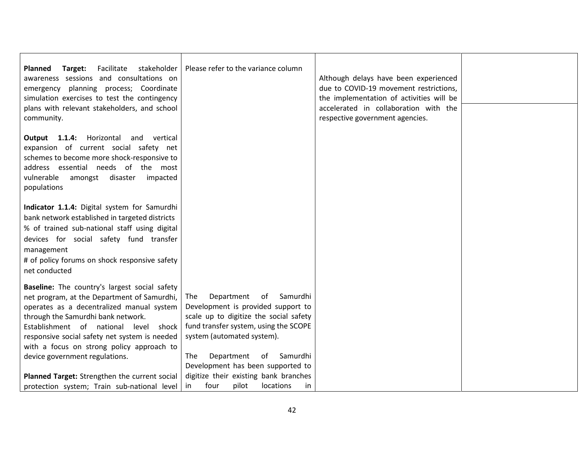| Facilitate<br>stakeholder<br>Target:<br>Planned<br>awareness sessions and consultations on<br>emergency planning process; Coordinate<br>simulation exercises to test the contingency<br>plans with relevant stakeholders, and school<br>community.                                                                                                          | Please refer to the variance column                                                                                                                                                                                                                                               | Although delays have been experienced<br>due to COVID-19 movement restrictions,<br>the implementation of activities will be<br>accelerated in collaboration with the<br>respective government agencies. |  |
|-------------------------------------------------------------------------------------------------------------------------------------------------------------------------------------------------------------------------------------------------------------------------------------------------------------------------------------------------------------|-----------------------------------------------------------------------------------------------------------------------------------------------------------------------------------------------------------------------------------------------------------------------------------|---------------------------------------------------------------------------------------------------------------------------------------------------------------------------------------------------------|--|
| Output 1.1.4: Horizontal<br>and vertical<br>expansion of current social safety net<br>schemes to become more shock-responsive to<br>address essential needs of the most<br>vulnerable<br>amongst<br>disaster<br>impacted<br>populations                                                                                                                     |                                                                                                                                                                                                                                                                                   |                                                                                                                                                                                                         |  |
| Indicator 1.1.4: Digital system for Samurdhi<br>bank network established in targeted districts<br>% of trained sub-national staff using digital<br>devices for social safety fund transfer<br>management<br># of policy forums on shock responsive safety<br>net conducted                                                                                  |                                                                                                                                                                                                                                                                                   |                                                                                                                                                                                                         |  |
| Baseline: The country's largest social safety<br>net program, at the Department of Samurdhi,<br>operates as a decentralized manual system<br>through the Samurdhi bank network.<br>Establishment of national level<br>shock<br>responsive social safety net system is needed<br>with a focus on strong policy approach to<br>device government regulations. | Department<br>of<br>Samurdhi<br><b>The</b><br>Development is provided support to<br>scale up to digitize the social safety<br>fund transfer system, using the SCOPE<br>system (automated system).<br>of Samurdhi<br><b>The</b><br>Department<br>Development has been supported to |                                                                                                                                                                                                         |  |
| Planned Target: Strengthen the current social<br>protection system; Train sub-national level                                                                                                                                                                                                                                                                | digitize their existing bank branches<br>locations<br>four<br>pilot<br>in.<br>in.                                                                                                                                                                                                 |                                                                                                                                                                                                         |  |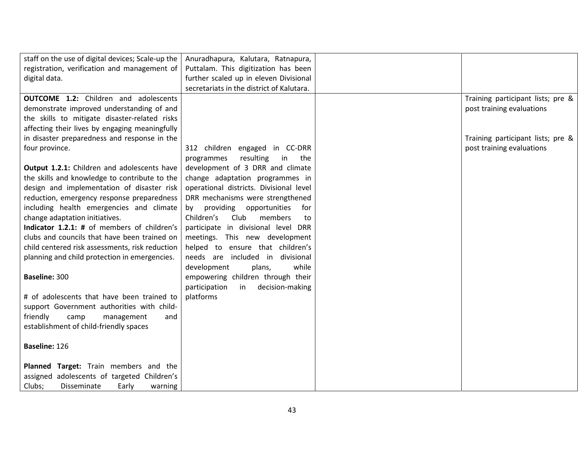| staff on the use of digital devices; Scale-up the | Anuradhapura, Kalutara, Ratnapura,            |                                   |
|---------------------------------------------------|-----------------------------------------------|-----------------------------------|
| registration, verification and management of      | Puttalam. This digitization has been          |                                   |
| digital data.                                     | further scaled up in eleven Divisional        |                                   |
|                                                   | secretariats in the district of Kalutara.     |                                   |
| <b>OUTCOME 1.2:</b> Children and adolescents      |                                               | Training participant lists; pre & |
| demonstrate improved understanding of and         |                                               | post training evaluations         |
| the skills to mitigate disaster-related risks     |                                               |                                   |
| affecting their lives by engaging meaningfully    |                                               |                                   |
| in disaster preparedness and response in the      |                                               | Training participant lists; pre & |
| four province.                                    | 312 children engaged in CC-DRR                | post training evaluations         |
|                                                   | resulting<br>in<br>programmes<br>the          |                                   |
| Output 1.2.1: Children and adolescents have       | development of 3 DRR and climate              |                                   |
| the skills and knowledge to contribute to the     | change adaptation programmes in               |                                   |
| design and implementation of disaster risk        | operational districts. Divisional level       |                                   |
| reduction, emergency response preparedness        | DRR mechanisms were strengthened              |                                   |
| including health emergencies and climate          | providing<br>opportunities<br>for<br>by       |                                   |
| change adaptation initiatives.                    | Children's<br>Club<br>members<br>to           |                                   |
| Indicator 1.2.1: # of members of children's       | participate in divisional level<br><b>DRR</b> |                                   |
| clubs and councils that have been trained on      | meetings. This new development                |                                   |
| child centered risk assessments, risk reduction   | helped to ensure that children's              |                                   |
| planning and child protection in emergencies.     | needs are included in<br>divisional           |                                   |
|                                                   | while<br>development<br>plans,                |                                   |
| Baseline: 300                                     | empowering children through their             |                                   |
|                                                   | participation<br>decision-making<br>in        |                                   |
| # of adolescents that have been trained to        | platforms                                     |                                   |
| support Government authorities with child-        |                                               |                                   |
| friendly<br>camp<br>management<br>and             |                                               |                                   |
| establishment of child-friendly spaces            |                                               |                                   |
|                                                   |                                               |                                   |
| Baseline: 126                                     |                                               |                                   |
|                                                   |                                               |                                   |
| Planned Target: Train members and the             |                                               |                                   |
| assigned adolescents of targeted Children's       |                                               |                                   |
| Clubs;<br>Disseminate<br>Early<br>warning         |                                               |                                   |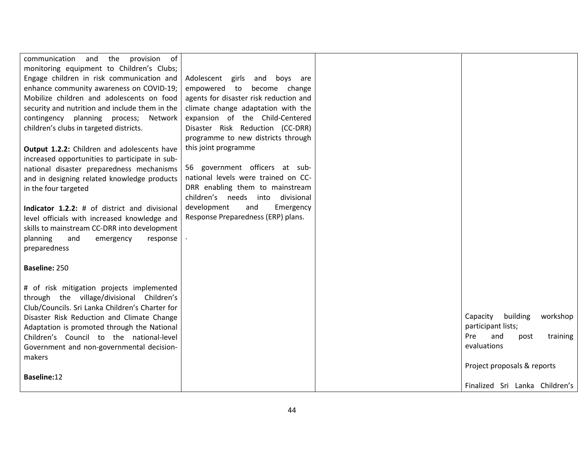| of<br>communication<br>the<br>provision<br>and  |                                        |                                         |
|-------------------------------------------------|----------------------------------------|-----------------------------------------|
| monitoring equipment to Children's Clubs;       |                                        |                                         |
| Engage children in risk communication and       | Adolescent girls and<br>boys are       |                                         |
| enhance community awareness on COVID-19;        | empowered to<br>become change          |                                         |
| Mobilize children and adolescents on food       | agents for disaster risk reduction and |                                         |
| security and nutrition and include them in the  | climate change adaptation with the     |                                         |
| contingency planning process;<br>Network        | expansion of the Child-Centered        |                                         |
| children's clubs in targeted districts.         | Disaster Risk Reduction (CC-DRR)       |                                         |
|                                                 | programme to new districts through     |                                         |
| Output 1.2.2: Children and adolescents have     | this joint programme                   |                                         |
| increased opportunities to participate in sub-  |                                        |                                         |
| national disaster preparedness mechanisms       | 56 government officers at sub-         |                                         |
| and in designing related knowledge products     | national levels were trained on CC-    |                                         |
| in the four targeted                            | DRR enabling them to mainstream        |                                         |
|                                                 | children's needs into<br>divisional    |                                         |
| Indicator 1.2.2: # of district and divisional   | development<br>and<br>Emergency        |                                         |
| level officials with increased knowledge and    | Response Preparedness (ERP) plans.     |                                         |
| skills to mainstream CC-DRR into development    |                                        |                                         |
| planning<br>and<br>emergency<br>response        |                                        |                                         |
| preparedness                                    |                                        |                                         |
|                                                 |                                        |                                         |
| Baseline: 250                                   |                                        |                                         |
|                                                 |                                        |                                         |
| # of risk mitigation projects implemented       |                                        |                                         |
| through the village/divisional Children's       |                                        |                                         |
| Club/Councils. Sri Lanka Children's Charter for |                                        |                                         |
| Disaster Risk Reduction and Climate Change      |                                        | building<br>Capacity<br>workshop        |
| Adaptation is promoted through the National     |                                        | participant lists;<br><b>Pre</b><br>and |
| Children's Council to the national-level        |                                        | training<br>post<br>evaluations         |
| Government and non-governmental decision-       |                                        |                                         |
| makers                                          |                                        | Project proposals & reports             |
| Baseline:12                                     |                                        |                                         |
|                                                 |                                        | Finalized Sri Lanka Children's          |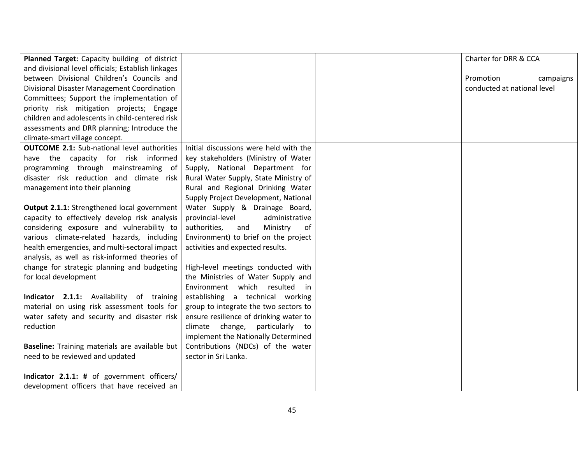| Planned Target: Capacity building of district      |                                        | Charter for DRR & CCA       |
|----------------------------------------------------|----------------------------------------|-----------------------------|
| and divisional level officials; Establish linkages |                                        |                             |
| between Divisional Children's Councils and         |                                        | Promotion<br>campaigns      |
| Divisional Disaster Management Coordination        |                                        | conducted at national level |
| Committees; Support the implementation of          |                                        |                             |
| priority risk mitigation projects; Engage          |                                        |                             |
| children and adolescents in child-centered risk    |                                        |                             |
| assessments and DRR planning; Introduce the        |                                        |                             |
| climate-smart village concept.                     |                                        |                             |
| <b>OUTCOME 2.1:</b> Sub-national level authorities | Initial discussions were held with the |                             |
| have the capacity for risk informed                | key stakeholders (Ministry of Water    |                             |
| programming through mainstreaming of               | Supply, National Department for        |                             |
| disaster risk reduction and climate risk           | Rural Water Supply, State Ministry of  |                             |
| management into their planning                     | Rural and Regional Drinking Water      |                             |
|                                                    | Supply Project Development, National   |                             |
| Output 2.1.1: Strengthened local government        | Water Supply & Drainage Board,         |                             |
| capacity to effectively develop risk analysis      | provincial-level<br>administrative     |                             |
| considering exposure and vulnerability to          | authorities,<br>Ministry<br>of<br>and  |                             |
| various climate-related hazards, including         | Environment) to brief on the project   |                             |
| health emergencies, and multi-sectoral impact      | activities and expected results.       |                             |
| analysis, as well as risk-informed theories of     |                                        |                             |
| change for strategic planning and budgeting        | High-level meetings conducted with     |                             |
| for local development                              | the Ministries of Water Supply and     |                             |
|                                                    | Environment which resulted<br>in       |                             |
| Indicator 2.1.1: Availability of training          | establishing a technical working       |                             |
| material on using risk assessment tools for        | group to integrate the two sectors to  |                             |
| water safety and security and disaster risk        | ensure resilience of drinking water to |                             |
| reduction                                          | climate change,<br>particularly to     |                             |
|                                                    | implement the Nationally Determined    |                             |
| Baseline: Training materials are available but     | Contributions (NDCs) of the water      |                             |
| need to be reviewed and updated                    | sector in Sri Lanka.                   |                             |
|                                                    |                                        |                             |
| Indicator 2.1.1: # of government officers/         |                                        |                             |
| development officers that have received an         |                                        |                             |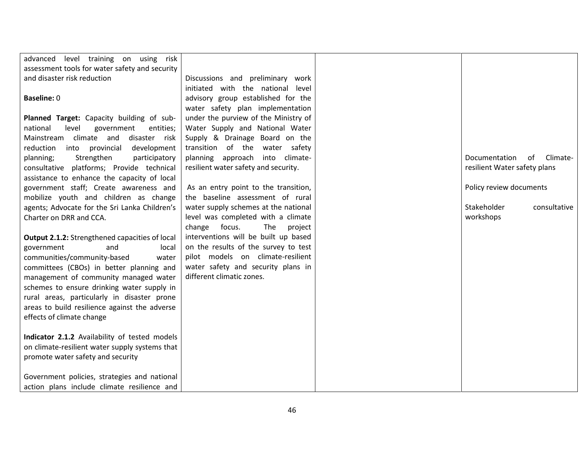| advanced level training on using risk          |                                      |                                 |
|------------------------------------------------|--------------------------------------|---------------------------------|
| assessment tools for water safety and security |                                      |                                 |
| and disaster risk reduction                    | Discussions and preliminary work     |                                 |
|                                                | initiated with the national level    |                                 |
| <b>Baseline: 0</b>                             | advisory group established for the   |                                 |
|                                                | water safety plan implementation     |                                 |
| Planned Target: Capacity building of sub-      | under the purview of the Ministry of |                                 |
| level<br>government<br>national<br>entities;   | Water Supply and National Water      |                                 |
| Mainstream climate and<br>disaster risk        | Supply & Drainage Board on the       |                                 |
| reduction<br>into provincial<br>development    | transition of the water safety       |                                 |
| Strengthen<br>planning;<br>participatory       | planning approach into climate-      | Documentation<br>of<br>Climate- |
| consultative platforms; Provide technical      | resilient water safety and security. | resilient Water safety plans    |
| assistance to enhance the capacity of local    |                                      |                                 |
| government staff; Create awareness and         | As an entry point to the transition, | Policy review documents         |
| mobilize youth and children as change          | the baseline assessment of rural     |                                 |
| agents; Advocate for the Sri Lanka Children's  | water supply schemes at the national | Stakeholder<br>consultative     |
| Charter on DRR and CCA.                        | level was completed with a climate   | workshops                       |
|                                                | change focus.<br>The<br>project      |                                 |
| Output 2.1.2: Strengthened capacities of local | interventions will be built up based |                                 |
| and<br>government<br>local                     | on the results of the survey to test |                                 |
| communities/community-based<br>water           | pilot models on climate-resilient    |                                 |
| committees (CBOs) in better planning and       | water safety and security plans in   |                                 |
| management of community managed water          | different climatic zones.            |                                 |
| schemes to ensure drinking water supply in     |                                      |                                 |
| rural areas, particularly in disaster prone    |                                      |                                 |
| areas to build resilience against the adverse  |                                      |                                 |
| effects of climate change                      |                                      |                                 |
|                                                |                                      |                                 |
| Indicator 2.1.2 Availability of tested models  |                                      |                                 |
| on climate-resilient water supply systems that |                                      |                                 |
| promote water safety and security              |                                      |                                 |
|                                                |                                      |                                 |
| Government policies, strategies and national   |                                      |                                 |
| action plans include climate resilience and    |                                      |                                 |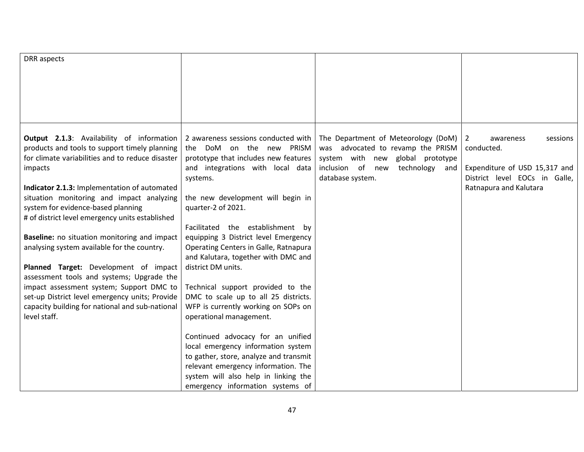| DRR aspects                                      |                                        |                                     |                               |
|--------------------------------------------------|----------------------------------------|-------------------------------------|-------------------------------|
|                                                  |                                        |                                     |                               |
|                                                  |                                        |                                     |                               |
|                                                  |                                        |                                     |                               |
|                                                  |                                        |                                     |                               |
|                                                  |                                        |                                     |                               |
|                                                  |                                        |                                     |                               |
|                                                  |                                        |                                     |                               |
| Output 2.1.3: Availability of information        | 2 awareness sessions conducted with    | The Department of Meteorology (DoM) | 2<br>sessions<br>awareness    |
| products and tools to support timely planning    | the DoM on the new PRISM               | was advocated to revamp the PRISM   | conducted.                    |
| for climate variabilities and to reduce disaster | prototype that includes new features   | system with new global prototype    |                               |
| impacts                                          | and integrations with local data       | inclusion of new<br>technology and  | Expenditure of USD 15,317 and |
|                                                  | systems.                               | database system.                    | District level EOCs in Galle, |
| Indicator 2.1.3: Implementation of automated     |                                        |                                     | Ratnapura and Kalutara        |
| situation monitoring and impact analyzing        | the new development will begin in      |                                     |                               |
| system for evidence-based planning               | quarter-2 of 2021.                     |                                     |                               |
| # of district level emergency units established  |                                        |                                     |                               |
|                                                  | Facilitated the establishment<br>bv    |                                     |                               |
| Baseline: no situation monitoring and impact     | equipping 3 District level Emergency   |                                     |                               |
| analysing system available for the country.      | Operating Centers in Galle, Ratnapura  |                                     |                               |
|                                                  | and Kalutara, together with DMC and    |                                     |                               |
| Planned Target: Development of impact            | district DM units.                     |                                     |                               |
| assessment tools and systems; Upgrade the        |                                        |                                     |                               |
| impact assessment system; Support DMC to         | Technical support provided to the      |                                     |                               |
| set-up District level emergency units; Provide   | DMC to scale up to all 25 districts.   |                                     |                               |
| capacity building for national and sub-national  | WFP is currently working on SOPs on    |                                     |                               |
| level staff.                                     | operational management.                |                                     |                               |
|                                                  |                                        |                                     |                               |
|                                                  | Continued advocacy for an unified      |                                     |                               |
|                                                  | local emergency information system     |                                     |                               |
|                                                  | to gather, store, analyze and transmit |                                     |                               |
|                                                  | relevant emergency information. The    |                                     |                               |
|                                                  | system will also help in linking the   |                                     |                               |
|                                                  | emergency information systems of       |                                     |                               |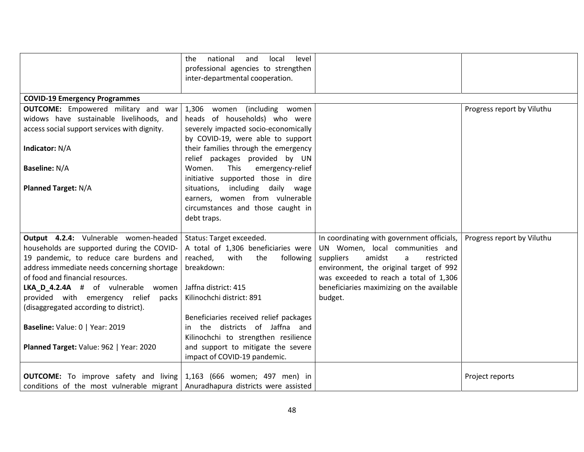|                                                                                | national<br>level<br>the.<br>and<br>local |                                            |                            |
|--------------------------------------------------------------------------------|-------------------------------------------|--------------------------------------------|----------------------------|
|                                                                                | professional agencies to strengthen       |                                            |                            |
|                                                                                | inter-departmental cooperation.           |                                            |                            |
| <b>COVID-19 Emergency Programmes</b>                                           |                                           |                                            |                            |
| <b>OUTCOME:</b> Empowered military and war                                     | 1,306<br>women (including women           |                                            | Progress report by Viluthu |
| widows have sustainable livelihoods, and                                       | heads of households) who were             |                                            |                            |
| access social support services with dignity.                                   | severely impacted socio-economically      |                                            |                            |
|                                                                                | by COVID-19, were able to support         |                                            |                            |
| Indicator: N/A                                                                 | their families through the emergency      |                                            |                            |
|                                                                                | relief packages provided by UN            |                                            |                            |
| <b>Baseline: N/A</b>                                                           | This<br>Women.<br>emergency-relief        |                                            |                            |
|                                                                                | initiative supported those in dire        |                                            |                            |
| <b>Planned Target: N/A</b>                                                     | situations, including daily wage          |                                            |                            |
|                                                                                | earners, women from vulnerable            |                                            |                            |
|                                                                                | circumstances and those caught in         |                                            |                            |
|                                                                                | debt traps.                               |                                            |                            |
| Output 4.2.4: Vulnerable women-headed                                          | Status: Target exceeded.                  | In coordinating with government officials, | Progress report by Viluthu |
| households are supported during the COVID-                                     | A total of 1,306 beneficiaries were       | UN Women, local communities and            |                            |
| 19 pandemic, to reduce care burdens and                                        | reached,<br>with<br>the<br>following      | amidst<br>suppliers<br>restricted<br>a     |                            |
| address immediate needs concerning shortage                                    | breakdown:                                | environment, the original target of 992    |                            |
| of food and financial resources.                                               |                                           | was exceeded to reach a total of 1,306     |                            |
| LKA_D_4.2.4A # of vulnerable women                                             | Jaffna district: 415                      | beneficiaries maximizing on the available  |                            |
| provided with emergency relief<br>packs                                        | Kilinochchi district: 891                 | budget.                                    |                            |
| (disaggregated according to district).                                         |                                           |                                            |                            |
|                                                                                | Beneficiaries received relief packages    |                                            |                            |
| Baseline: Value: 0   Year: 2019                                                | in the districts of Jaffna and            |                                            |                            |
|                                                                                | Kilinochchi to strengthen resilience      |                                            |                            |
| Planned Target: Value: 962   Year: 2020                                        | and support to mitigate the severe        |                                            |                            |
|                                                                                | impact of COVID-19 pandemic.              |                                            |                            |
|                                                                                |                                           |                                            |                            |
| <b>OUTCOME:</b> To improve safety and living $1,163$ (666 women; 497 men) in   |                                           |                                            | Project reports            |
| conditions of the most vulnerable migrant Anuradhapura districts were assisted |                                           |                                            |                            |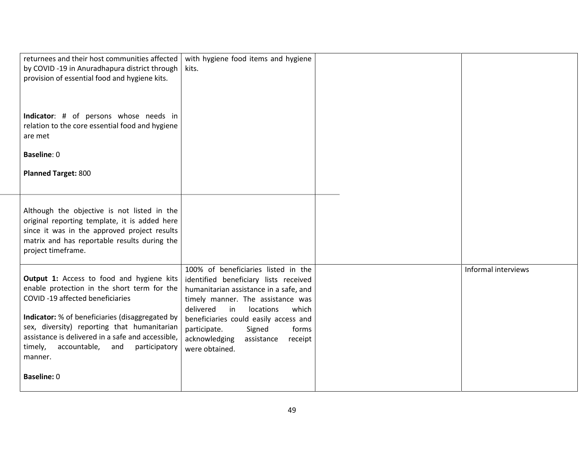| returnees and their host communities affected<br>by COVID -19 in Anuradhapura district through<br>provision of essential food and hygiene kits.                                                                                                                                                                                               | with hygiene food items and hygiene<br>kits.                                                                                                                                                                                                                                                                                                 |                     |
|-----------------------------------------------------------------------------------------------------------------------------------------------------------------------------------------------------------------------------------------------------------------------------------------------------------------------------------------------|----------------------------------------------------------------------------------------------------------------------------------------------------------------------------------------------------------------------------------------------------------------------------------------------------------------------------------------------|---------------------|
| Indicator: # of persons whose needs in<br>relation to the core essential food and hygiene<br>are met                                                                                                                                                                                                                                          |                                                                                                                                                                                                                                                                                                                                              |                     |
| Baseline: 0                                                                                                                                                                                                                                                                                                                                   |                                                                                                                                                                                                                                                                                                                                              |                     |
| <b>Planned Target: 800</b>                                                                                                                                                                                                                                                                                                                    |                                                                                                                                                                                                                                                                                                                                              |                     |
| Although the objective is not listed in the<br>original reporting template, it is added here<br>since it was in the approved project results<br>matrix and has reportable results during the<br>project timeframe.                                                                                                                            |                                                                                                                                                                                                                                                                                                                                              |                     |
| Output 1: Access to food and hygiene kits<br>enable protection in the short term for the<br>COVID-19 affected beneficiaries<br>Indicator: % of beneficiaries (disaggregated by<br>sex, diversity) reporting that humanitarian<br>assistance is delivered in a safe and accessible,<br>timely,<br>accountable, and<br>participatory<br>manner. | 100% of beneficiaries listed in the<br>identified beneficiary lists received<br>humanitarian assistance in a safe, and<br>timely manner. The assistance was<br>delivered<br>in<br>locations<br>which<br>beneficiaries could easily access and<br>participate.<br>Signed<br>forms<br>acknowledging<br>assistance<br>receipt<br>were obtained. | Informal interviews |
| <b>Baseline: 0</b>                                                                                                                                                                                                                                                                                                                            |                                                                                                                                                                                                                                                                                                                                              |                     |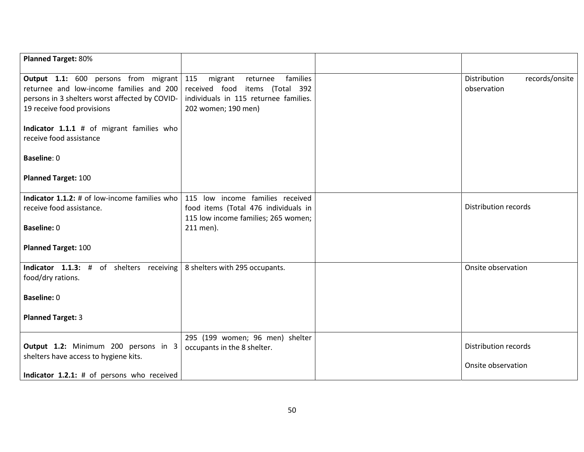| <b>Planned Target: 80%</b>                                                             |                                       |                                |
|----------------------------------------------------------------------------------------|---------------------------------------|--------------------------------|
|                                                                                        |                                       |                                |
| <b>Output 1.1:</b> 600 persons from migrant 115                                        | families<br>migrant<br>returnee       | Distribution<br>records/onsite |
| returnee and low-income families and 200                                               | received food<br>items (Total 392     | observation                    |
| persons in 3 shelters worst affected by COVID-                                         | individuals in 115 returnee families. |                                |
| 19 receive food provisions                                                             | 202 women; 190 men)                   |                                |
| Indicator 1.1.1 # of migrant families who                                              |                                       |                                |
| receive food assistance                                                                |                                       |                                |
|                                                                                        |                                       |                                |
| <b>Baseline: 0</b>                                                                     |                                       |                                |
|                                                                                        |                                       |                                |
| <b>Planned Target: 100</b>                                                             |                                       |                                |
| Indicator 1.1.2: # of low-income families who                                          | 115 low income families received      |                                |
| receive food assistance.                                                               | food items (Total 476 individuals in  | <b>Distribution records</b>    |
|                                                                                        | 115 low income families; 265 women;   |                                |
| <b>Baseline: 0</b>                                                                     | 211 men).                             |                                |
|                                                                                        |                                       |                                |
| <b>Planned Target: 100</b>                                                             |                                       |                                |
|                                                                                        |                                       |                                |
| <b>Indicator</b> 1.1.3: # of shelters receiving $\vert$ 8 shelters with 295 occupants. |                                       | Onsite observation             |
| food/dry rations.                                                                      |                                       |                                |
|                                                                                        |                                       |                                |
| <b>Baseline: 0</b>                                                                     |                                       |                                |
|                                                                                        |                                       |                                |
| <b>Planned Target: 3</b>                                                               |                                       |                                |
|                                                                                        | 295 (199 women; 96 men) shelter       |                                |
| Output 1.2: Minimum 200 persons in 3                                                   | occupants in the 8 shelter.           | <b>Distribution records</b>    |
| shelters have access to hygiene kits.                                                  |                                       |                                |
|                                                                                        |                                       | Onsite observation             |
| Indicator 1.2.1: # of persons who received                                             |                                       |                                |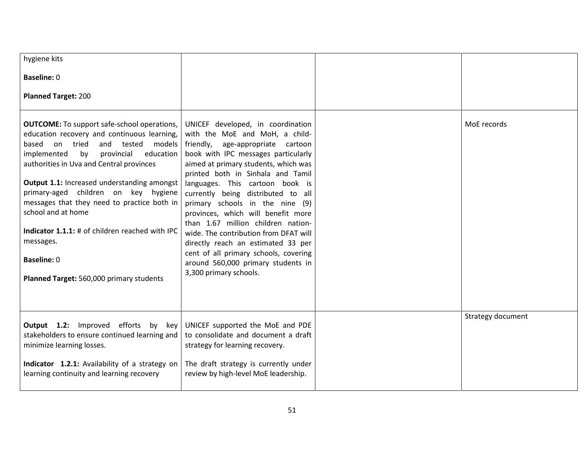| hygiene kits                                                                                                                                                                                                                                                                                                                                                                                                                                                                                                                             |                                                                                                                                                                                                                                                                                                                                                                                                                                                                                                                                                                                                                 |                   |
|------------------------------------------------------------------------------------------------------------------------------------------------------------------------------------------------------------------------------------------------------------------------------------------------------------------------------------------------------------------------------------------------------------------------------------------------------------------------------------------------------------------------------------------|-----------------------------------------------------------------------------------------------------------------------------------------------------------------------------------------------------------------------------------------------------------------------------------------------------------------------------------------------------------------------------------------------------------------------------------------------------------------------------------------------------------------------------------------------------------------------------------------------------------------|-------------------|
| <b>Baseline: 0</b>                                                                                                                                                                                                                                                                                                                                                                                                                                                                                                                       |                                                                                                                                                                                                                                                                                                                                                                                                                                                                                                                                                                                                                 |                   |
| <b>Planned Target: 200</b>                                                                                                                                                                                                                                                                                                                                                                                                                                                                                                               |                                                                                                                                                                                                                                                                                                                                                                                                                                                                                                                                                                                                                 |                   |
| <b>OUTCOME:</b> To support safe-school operations,<br>education recovery and continuous learning,<br>on tried<br>based<br>and tested<br>models<br>by<br>implemented<br>provincial<br>education<br>authorities in Uva and Central provinces<br>Output 1.1: Increased understanding amongst<br>primary-aged children on key hygiene<br>messages that they need to practice both in<br>school and at home<br>Indicator 1.1.1: # of children reached with IPC<br>messages.<br><b>Baseline: 0</b><br>Planned Target: 560,000 primary students | UNICEF developed, in coordination<br>with the MoE and MoH, a child-<br>friendly,<br>age-appropriate cartoon<br>book with IPC messages particularly<br>aimed at primary students, which was<br>printed both in Sinhala and Tamil<br>languages. This cartoon book is<br>currently being distributed to all<br>primary schools in the nine (9)<br>provinces, which will benefit more<br>than 1.67 million children nation-<br>wide. The contribution from DFAT will<br>directly reach an estimated 33 per<br>cent of all primary schools, covering<br>around 560,000 primary students in<br>3,300 primary schools. | MoE records       |
| <b>Output 1.2:</b> Improved efforts by key<br>stakeholders to ensure continued learning and<br>minimize learning losses.<br>Indicator 1.2.1: Availability of a strategy on<br>learning continuity and learning recovery                                                                                                                                                                                                                                                                                                                  | UNICEF supported the MoE and PDE<br>to consolidate and document a draft<br>strategy for learning recovery.<br>The draft strategy is currently under<br>review by high-level MoE leadership.                                                                                                                                                                                                                                                                                                                                                                                                                     | Strategy document |
|                                                                                                                                                                                                                                                                                                                                                                                                                                                                                                                                          |                                                                                                                                                                                                                                                                                                                                                                                                                                                                                                                                                                                                                 |                   |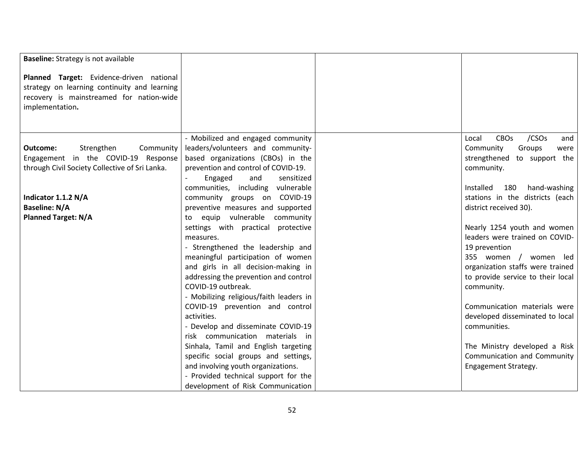| <b>Baseline:</b> Strategy is not available     |                                         |                                                  |
|------------------------------------------------|-----------------------------------------|--------------------------------------------------|
| Planned Target: Evidence-driven national       |                                         |                                                  |
| strategy on learning continuity and learning   |                                         |                                                  |
| recovery is mainstreamed for nation-wide       |                                         |                                                  |
| implementation.                                |                                         |                                                  |
|                                                |                                         |                                                  |
|                                                |                                         |                                                  |
|                                                | - Mobilized and engaged community       | /CSO <sub>S</sub><br><b>CBOs</b><br>Local<br>and |
| Strengthen<br>Community<br>Outcome:            | leaders/volunteers and community-       | Groups<br>Community<br>were                      |
| Engagement in the COVID-19 Response            | based organizations (CBOs) in the       | strengthened to support the                      |
| through Civil Society Collective of Sri Lanka. | prevention and control of COVID-19.     | community.                                       |
|                                                | Engaged<br>and<br>sensitized            |                                                  |
|                                                | communities, including vulnerable       | 180<br>hand-washing<br>Installed                 |
| Indicator 1.1.2 N/A                            | community groups on COVID-19            | stations in the districts (each                  |
| <b>Baseline: N/A</b>                           | preventive measures and supported       | district received 30).                           |
| <b>Planned Target: N/A</b>                     | equip vulnerable community<br>to        |                                                  |
|                                                | settings with practical protective      | Nearly 1254 youth and women                      |
|                                                | measures.                               | leaders were trained on COVID-                   |
|                                                | - Strengthened the leadership and       | 19 prevention                                    |
|                                                | meaningful participation of women       | 355 women / women led                            |
|                                                | and girls in all decision-making in     | organization staffs were trained                 |
|                                                | addressing the prevention and control   | to provide service to their local                |
|                                                | COVID-19 outbreak.                      | community.                                       |
|                                                | - Mobilizing religious/faith leaders in |                                                  |
|                                                | COVID-19 prevention and control         | Communication materials were                     |
|                                                | activities.                             | developed disseminated to local                  |
|                                                | - Develop and disseminate COVID-19      | communities.                                     |
|                                                | risk communication materials in         |                                                  |
|                                                | Sinhala, Tamil and English targeting    | The Ministry developed a Risk                    |
|                                                | specific social groups and settings,    | Communication and Community                      |
|                                                | and involving youth organizations.      | Engagement Strategy.                             |
|                                                | - Provided technical support for the    |                                                  |
|                                                | development of Risk Communication       |                                                  |